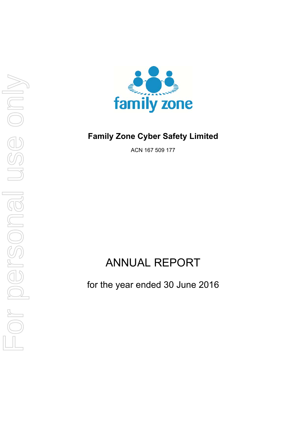



# **Family Zone Cyber Safety Limited**

ACN 167 509 177

# ANNUAL REPORT

for the year ended 30 June 2016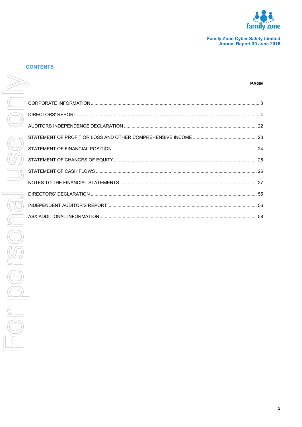

### **CONTENTS**

## **PAGE**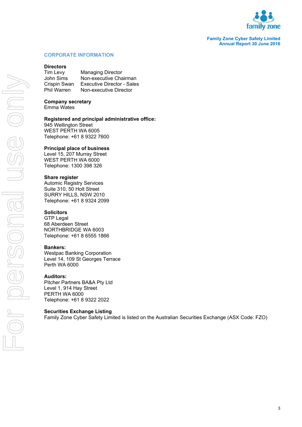

### **CORPORATE INFORMATION**

### **Directors**

 Tim Levy Managing Director Crispin Swan Executive Director - Sales Phil Warren Non-executive Director

### **Company secretary**

Emma Wates

### **Registered and principal administrative office:**

945 Wellington Street WEST PERTH WA 6005 Telephone: +61 8 9322 7600

#### **Principal place of business**

 Level 15, 207 Murray Street WEST PERTH WA 6000 Telephone: 1300 398 326

#### **Share register**

Suite 310, 50 Holt Street SURRY HILLS, NSW 2010 Telephone: +61 8 9324 2099

#### **Solicitors**

GTP Legal 68 Aberdeen Street NORTHBRIDGE WA 6003 Telephone: +61 8 6555 1866

#### **Bankers:**

Westpac Banking Corporation Level 14, 109 St Georges Terrace Perth WA 6000

#### **Auditors:**

Pitcher Partners BA&A Pty Ltd Level 1, 914 Hay Street PERTH WA 6000 Telephone: +61 8 9322 2022

### **Securities Exchange Listing**

Family Zone Cyber Safety Limited is listed on the Australian Securities Exchange (ASX Code: FZO)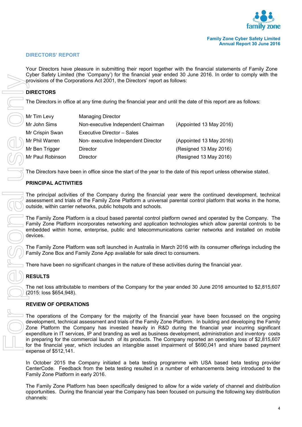

**Annual Report 30 June 2016** 

**DIRECTORS' REPORT**  Your Directors have pleasure in submitting their report together with the financial statements of Family Zone Cyber Safety Limited (the 'Company') for the financial year ended 30 June 2016. In order to comply with the provisions of the Corporations Act 2001, the Directors' report as follows:

# **DIRECTORS**

The Directors in office at any time during the financial year and until the date of this report are as follows:

| Mr Tim Levy      | <b>Managing Director</b>            |                         |
|------------------|-------------------------------------|-------------------------|
| Mr John Sims     | Non-executive Independent Chairman  | (Appointed 13 May 2016) |
| Mr Crispin Swan  | Executive Director - Sales          |                         |
| Mr Phil Warren   | Non- executive Independent Director | (Appointed 13 May 2016) |
| Mr Ben Trigger   | Director                            | (Resigned 13 May 2016)  |
| Mr Paul Robinson | <b>Director</b>                     | (Resigned 13 May 2016)  |
|                  |                                     |                         |

The Directors have been in office since the start of the year to the date of this report unless otherwise stated.

## **PRINCIPAL ACTIVITIES**

The principal activities of the Company during the financial year were the continued development, technical assessment and trials of the Family Zone Platform a universal parental control platform that works in the home, outside, within carrier networks, public hotspots and schools.

The Family Zone Platform is a cloud based parental control platform owned and operated by the Company. The Family Zone Platform incorporates networking and application technologies which allow parental controls to be embedded within home, enterprise, public and telecommunications carrier networks and installed on mobile devices.

The Family Zone Platform was soft launched in Australia in March 2016 with its consumer offerings including the Family Zone Box and Family Zone App available for sale direct to consumers.

There have been no significant changes in the nature of these activities during the financial year.

### **RESULTS**

The net loss attributable to members of the Company for the year ended 30 June 2016 amounted to \$2,815,607 (2015: loss \$654,948).

### **REVIEW OF OPERATIONS**

The operations of the Company for the majority of the financial year have been focussed on the ongoing development, technical assessment and trials of the Family Zone Platform. In building and developing the Family Zone Platform the Company has invested heavily in R&D during the financial year incurring significant expenditure in IT services, IP and branding as well as business development, administration and inventory costs in preparing for the commercial launch of its products. The Company reported an operating loss of \$2,815,607 for the financial year, which includes an intangible asset impairment of \$690,041 and share based payment expense of \$512,141.

In October 2015 the Company initiated a beta testing programme with USA based beta testing provider CenterCode. Feedback from the beta testing resulted in a number of enhancements being introduced to the Family Zone Platform in early 2016.

The Family Zone Platform has been specifically designed to allow for a wide variety of channel and distribution opportunities. During the financial year the Company has been focused on pursuing the following key distribution channels: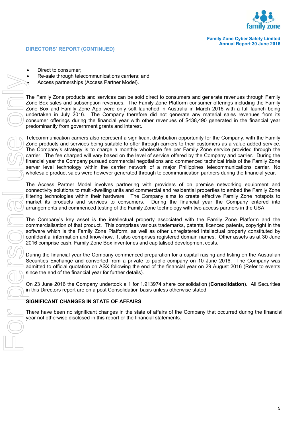

- Direct to consumer;
- Re-sale through telecommunications carriers; and
- Access partnerships (Access Partner Model).

The Family Zone products and services can be sold direct to consumers and generate revenues through Family Zone Box sales and subscription revenues. The Family Zone Platform consumer offerings including the Family Zone Box and Family Zone App were only soft launched in Australia in March 2016 with a full launch being undertaken in July 2016. The Company therefore did not generate any material sales revenues from its consumer offerings during the financial year with other revenues of \$438,490 generated in the financial year predominantly from government grants and interest.

Telecommunication carriers also represent a significant distribution opportunity for the Company, with the Family Zone products and services being suitable to offer through carriers to their customers as a value added service. The Company's strategy is to charge a monthly wholesale fee per Family Zone service provided through the carrier. The fee charged will vary based on the level of service offered by the Company and carrier. During the financial year the Company pursued commercial negotiations and commenced technical trials of the Family Zone server level technology within the carrier network of a major Philippines telecommunications carrier. No wholesale product sales were however generated through telecommunication partners during the financial year.

The Access Partner Model involves partnering with providers of on premise networking equipment and connectivity solutions to multi-dwelling units and commercial and residential properties to embed the Family Zone filtering technologies within their hardware. The Company aims to create effective Family Zone hotspots to market its products and services to consumers. During the financial year the Company entered into arrangements and commenced testing of the Family Zone technology with two access partners in the USA.

The Company's key asset is the intellectual property associated with the Family Zone Platform and the commercialisation of that product. This comprises various trademarks, patents, licenced patents, copyright in the software which is the Family Zone Platform, as well as other unregistered intellectual property constituted by confidential information and know-how. It also comprises registered domain names. Other assets as at 30 June 2016 comprise cash, Family Zone Box inventories and capitalised development costs.

During the financial year the Company commenced preparation for a capital raising and listing on the Australian Securities Exchange and converted from a private to public company on 10 June 2016. The Company was admitted to official quotation on ASX following the end of the financial year on 29 August 2016 (Refer to events since the end of the financial year for further details).

On 23 June 2016 the Company undertook a 1 for 1.913974 share consolidation (**Consolidation**). All Securities in this Directors report are on a post Consolidation basis unless otherwise stated.

### **SIGNIFICANT CHANGES IN STATE OF AFFAIRS**

There have been no significant changes in the state of affairs of the Company that occurred during the financial year not otherwise disclosed in this report or the financial statements.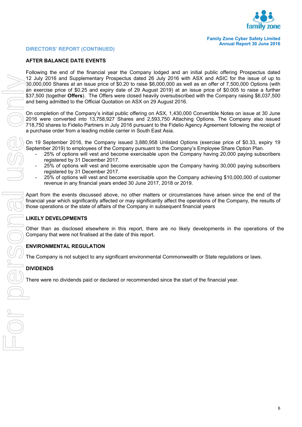

### **AFTER BALANCE DATE EVENTS**

Following the end of the financial year the Company lodged and an initial public offering Prospectus dated 12 July 2016 and Supplementary Prospectus dated 26 July 2016 with ASX and ASIC for the issue of up to 30,000,000 Shares at an issue price of \$0.20 to raise \$6,000,000 as well as an offer of 7,500,000 Options (with an exercise price of \$0.25 and expiry date of 29 August 2019) at an issue price of \$0.005 to raise a further \$37,500 (together **Offers**). The Offers were closed heavily oversubscribed with the Company raising \$6,037,500 and being admitted to the Official Quotation on ASX on 29 August 2016.

On completion of the Company's initial public offering on ASX, 1,430,000 Convertible Notes on issue at 30 June 2016 were converted into 13,758,927 Shares and 2,593,750 Attaching Options. The Company also issued 718,750 shares to Fidelio Partners in July 2016 pursuant to the Fidelio Agency Agreement following the receipt of a purchase order from a leading mobile carrier in South East Asia.

On 19 September 2016, the Company issued 3,880,958 Unlisted Options (exercise price of \$0.33, expiry 19 September 2019) to employees of the Company pursuant to the Company's Employee Share Option Plan.

- 25% of options will vest and become exercisable upon the Company having 20,000 paying subscribers registered by 31 December 2017.
- 25% of options will vest and become exercisable upon the Company having 30,000 paying subscribers registered by 31 December 2017.
- 25% of options will vest and become exercisable upon the Company achieving \$10,000,000 of customer revenue in any financial years ended 30 June 2017, 2018 or 2019.

Apart from the events discussed above, no other matters or circumstances have arisen since the end of the financial year which significantly affected or may significantly affect the operations of the Company, the results of those operations or the state of affairs of the Company in subsequent financial years

### **LIKELY DEVELOPMENTS**

Other than as disclosed elsewhere in this report, there are no likely developments in the operations of the Company that were not finalised at the date of this report.

### **ENVIRONMENTAL REGULATION**

The Company is not subject to any significant environmental Commonwealth or State regulations or laws.

### **DIVIDENDS**

There were no dividends paid or declared or recommended since the start of the financial year.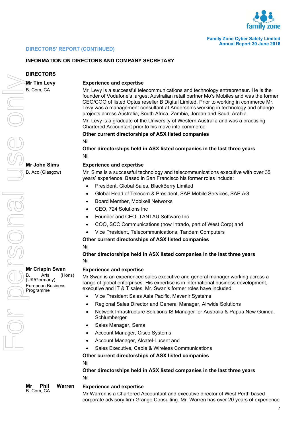

### **DIRECTORS' REPORT (CONTINUED)**

### **Experience and expertise**

Mr. Levy is a successful telecommunications and technology entrepreneur. He is the founder of Vodafone's largest Australian retail partner Mo's Mobiles and was the former CEO/COO of listed Optus reseller B Digital Limited. Prior to working in commerce Mr. Levy was a management consultant at Andersen's working in technology and change projects across Australia, South Africa, Zambia, Jordan and Saudi Arabia.

Mr. Levy is a graduate of the University of Western Australia and was a practising Chartered Accountant prior to his move into commerce.

### **Other current directorships of ASX listed companies**

Nil

### **Other directorships held in ASX listed companies in the last three years**  Nil

### **Experience and expertise**

Mr. Sims is a successful technology and telecommunications executive with over 35 years' experience. Based in San Francisco his former roles include:

- President, Global Sales, BlackBerry Limited
- Global Head of Telecom & President, SAP Mobile Services, SAP AG
- Board Member, Mobixell Networks
- CEO, 724 Solutions Inc
- Founder and CEO, TANTAU Software Inc
- COO, SCC Communications (now Intrado, part of West Corp) and
- Vice President, Telecommunications, Tandem Computers

### **Other current directorships of ASX listed companies**

Nil

**Other directorships held in ASX listed companies in the last three years**  Nil

### **Experience and expertise**

Mr Swan is an experienced sales executive and general manager working across a range of global enterprises. His expertise is in international business development, executive and IT & T sales. Mr. Swan's former roles have included:

- Vice President Sales Asia Pacific, Mavenir Systems
- Regional Sales Director and General Manager, Airwide Solutions
- Network Infrastructure Solutions IS Manager for Australia & Papua New Guinea, Schlumberger
- Sales Manager, Sema
- Account Manager, Cisco Systems
- Account Manager, Alcatel-Lucent and
- Sales Executive, Cable & Wireless Communications

**Other current directorships of ASX listed companies** 

Nil

**Other directorships held in ASX listed companies in the last three years**  Nil

# **Mr Phil Warren**

### **Experience and expertise**

Mr Warren is a Chartered Accountant and executive director of West Perth based corporate advisory firm Grange Consulting. Mr. Warren has over 20 years of experience

B. Arts (Hons)

(UK/Germany) European Business **Programme**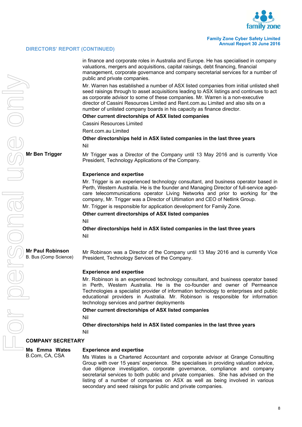

in finance and corporate roles in Australia and Europe. He has specialised in company valuations, mergers and acquisitions, capital raisings, debt financing, financial management, corporate governance and company secretarial services for a number of public and private companies.

Mr. Warren has established a number of ASX listed companies from initial unlisted shell seed raisings through to asset acquisitions leading to ASX listings and continues to act as corporate advisor to some of these companies. Mr. Warren is a non-executive director of Cassini Resources Limited and Rent.com.au Limited and also sits on a number of unlisted company boards in his capacity as finance director.

### **Other current directorships of ASX listed companies**

Cassini Resources Limited

Rent.com.au Limited

**Other directorships held in ASX listed companies in the last three years**  Nil

**Mr Ben Trigger** Mr Trigger was a Director of the Company until 13 May 2016 and is currently Vice President, Technology Applications of the Company.

### **Experience and expertise**

Mr. Trigger is an experienced technology consultant, and business operator based in Perth, Western Australia. He is the founder and Managing Director of full-service agedcare telecommunications operator Living Networks and prior to working for the company, Mr. Trigger was a Director of Ultimation and CEO of Netlink Group.

Mr. Trigger is responsible for application development for Family Zone.

**Other current directorships of ASX listed companies** 

Nil

**Other directorships held in ASX listed companies in the last three years**  Nil

**Mr Paul Robinson**  B. Bus (Comp Science) Mr Robinson was a Director of the Company until 13 May 2016 and is currently Vice President, Technology Services of the Company.

### **Experience and expertise**

Mr. Robinson is an experienced technology consultant, and business operator based in Perth, Western Australia. He is the co-founder and owner of Permeance Technologies a specialist provider of information technology to enterprises and public educational providers in Australia. Mr. Robinson is responsible for information technology services and partner deployments

### **Other current directorships of ASX listed companies**

Nil

**Other directorships held in ASX listed companies in the last three years** 

Nil

### **COMPANY SECRETARY**

**Ms Emma Wates**  B.Com, CA, CSA

### **Experience and expertise**

Ms Wates is a Chartered Accountant and corporate advisor at Grange Consulting Group with over 15 years' experience. She specialises in providing valuation advice, due diligence investigation, corporate governance, compliance and company secretarial services to both public and private companies. She has advised on the listing of a number of companies on ASX as well as being involved in various secondary and seed raisings for public and private companies.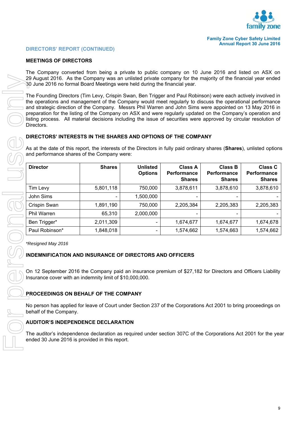

### **MEETINGS OF DIRECTORS**

The Company converted from being a private to public company on 10 June 2016 and listed on ASX on 29 August 2016. As the Company was an unlisted private company for the majority of the financial year ended 30 June 2016 no formal Board Meetings were held during the financial year.

### **DIRECTORS' INTERESTS IN THE SHARES AND OPTIONS OF THE COMPANY**

| 29 August 2016. As the Company was an unlisted private company for the majority of the financial year ended<br>30 June 2016 no formal Board Meetings were held during the financial year.                                                                                                                                                                                                                                                                                                                                                                                                |               |                                   |                                                |                                                |                                                |  |  |  |
|------------------------------------------------------------------------------------------------------------------------------------------------------------------------------------------------------------------------------------------------------------------------------------------------------------------------------------------------------------------------------------------------------------------------------------------------------------------------------------------------------------------------------------------------------------------------------------------|---------------|-----------------------------------|------------------------------------------------|------------------------------------------------|------------------------------------------------|--|--|--|
| The Founding Directors (Tim Levy, Crispin Swan, Ben Trigger and Paul Robinson) were each actively involved in<br>the operations and management of the Company would meet regularly to discuss the operational performance<br>and strategic direction of the Company. Messrs Phil Warren and John Sims were appointed on 13 May 2016 in<br>preparation for the listing of the Company on ASX and were regularly updated on the Company's operation and<br>listing process. All material decisions including the issue of securities were approved by circular resolution of<br>Directors. |               |                                   |                                                |                                                |                                                |  |  |  |
| DIRECTORS' INTERESTS IN THE SHARES AND OPTIONS OF THE COMPANY<br>As at the date of this report, the interests of the Directors in fully paid ordinary shares (Shares), unlisted options<br>and performance shares of the Company were:                                                                                                                                                                                                                                                                                                                                                   |               |                                   |                                                |                                                |                                                |  |  |  |
| <b>Director</b>                                                                                                                                                                                                                                                                                                                                                                                                                                                                                                                                                                          | <b>Shares</b> | <b>Unlisted</b><br><b>Options</b> | <b>Class A</b><br>Performance<br><b>Shares</b> | <b>Class B</b><br>Performance<br><b>Shares</b> | <b>Class C</b><br>Performance<br><b>Shares</b> |  |  |  |
| Tim Levy                                                                                                                                                                                                                                                                                                                                                                                                                                                                                                                                                                                 | 5,801,118     | 750,000                           | 3,878,611                                      | 3,878,610                                      | 3,878,610                                      |  |  |  |
| John Sims                                                                                                                                                                                                                                                                                                                                                                                                                                                                                                                                                                                |               | 1,500,000                         |                                                |                                                |                                                |  |  |  |
| Crispin Swan                                                                                                                                                                                                                                                                                                                                                                                                                                                                                                                                                                             | 1,891,190     | 750,000                           | 2,205,384                                      | 2,205,383                                      | 2,205,383                                      |  |  |  |
| Phil Warren                                                                                                                                                                                                                                                                                                                                                                                                                                                                                                                                                                              | 65,310        | 2,000,000                         |                                                |                                                |                                                |  |  |  |
| Ben Trigger*                                                                                                                                                                                                                                                                                                                                                                                                                                                                                                                                                                             | 2,011,309     |                                   | 1,674,677                                      | 1,674,677                                      | 1,674,678                                      |  |  |  |
| Paul Robinson*                                                                                                                                                                                                                                                                                                                                                                                                                                                                                                                                                                           | 1,848,018     |                                   | 1,574,662                                      | 1,574,663                                      | 1,574,662                                      |  |  |  |
| *Resigned May 2016<br><b>INDEMNIFICATION AND INSURANCE OF DIRECTORS AND OFFICERS</b><br>On 12 September 2016 the Company paid an insurance premium of \$27,182 for Directors and Officers Liability<br>Insurance cover with an indemnity limit of \$10,000,000.                                                                                                                                                                                                                                                                                                                          |               |                                   |                                                |                                                |                                                |  |  |  |
| PROCEEDINGS ON BEHALF OF THE COMPANY                                                                                                                                                                                                                                                                                                                                                                                                                                                                                                                                                     |               |                                   |                                                |                                                |                                                |  |  |  |
| No person has applied for leave of Court under Section 237 of the Corporations Act 2001 to bring proceedings on<br>behalf of the Company.                                                                                                                                                                                                                                                                                                                                                                                                                                                |               |                                   |                                                |                                                |                                                |  |  |  |
| <b>AUDITOR'S INDEPENDENCE DECLARATION</b>                                                                                                                                                                                                                                                                                                                                                                                                                                                                                                                                                |               |                                   |                                                |                                                |                                                |  |  |  |
| The auditor's independence declaration as required under section 307C of the Corporations Act 2001 for the yea<br>ended 30 June 2016 is provided in this report.                                                                                                                                                                                                                                                                                                                                                                                                                         |               |                                   |                                                |                                                |                                                |  |  |  |

### **INDEMNIFICATION AND INSURANCE OF DIRECTORS AND OFFICERS**

### **PROCEEDINGS ON BEHALF OF THE COMPANY**

### **AUDITOR'S INDEPENDENCE DECLARATION**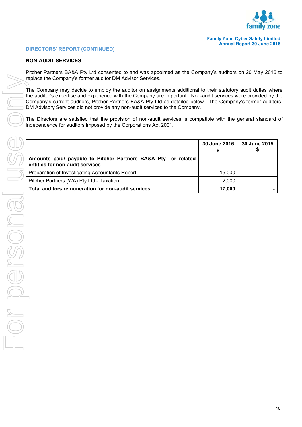

### **NON-AUDIT SERVICES**

Pitcher Partners BA&A Pty Ltd consented to and was appointed as the Company's auditors on 20 May 2016 to replace the Company's former auditor DM Advisor Services.

| The Company may decide to employ the auditor on assignments additional to their statutory audit duties whe<br>the auditor's expertise and experience with the Company are important. Non-audit services were provided by tl<br>Company's current auditors, Pitcher Partners BA&A Pty Ltd as detailed below. The Company's former auditor<br>DM Advisory Services did not provide any non-audit services to the Company.<br>The Directors are satisfied that the provision of non-audit services is compatible with the general standard<br>independence for auditors imposed by the Corporations Act 2001.<br>30 June 2016<br>\$<br>\$<br>Amounts paid/ payable to Pitcher Partners BA&A Pty<br>or related<br>entities for non-audit services<br>15,000<br>Preparation of Investigating Accountants Report<br>Pitcher Partners (WA) Pty Ltd - Taxation<br>2,000<br>Total auditors remuneration for non-audit services<br>17,000 | replace the Company's former auditor DM Advisor Services. |              |
|---------------------------------------------------------------------------------------------------------------------------------------------------------------------------------------------------------------------------------------------------------------------------------------------------------------------------------------------------------------------------------------------------------------------------------------------------------------------------------------------------------------------------------------------------------------------------------------------------------------------------------------------------------------------------------------------------------------------------------------------------------------------------------------------------------------------------------------------------------------------------------------------------------------------------------|-----------------------------------------------------------|--------------|
|                                                                                                                                                                                                                                                                                                                                                                                                                                                                                                                                                                                                                                                                                                                                                                                                                                                                                                                                 |                                                           |              |
|                                                                                                                                                                                                                                                                                                                                                                                                                                                                                                                                                                                                                                                                                                                                                                                                                                                                                                                                 |                                                           |              |
|                                                                                                                                                                                                                                                                                                                                                                                                                                                                                                                                                                                                                                                                                                                                                                                                                                                                                                                                 |                                                           | 30 June 2015 |
|                                                                                                                                                                                                                                                                                                                                                                                                                                                                                                                                                                                                                                                                                                                                                                                                                                                                                                                                 |                                                           |              |
|                                                                                                                                                                                                                                                                                                                                                                                                                                                                                                                                                                                                                                                                                                                                                                                                                                                                                                                                 |                                                           |              |
|                                                                                                                                                                                                                                                                                                                                                                                                                                                                                                                                                                                                                                                                                                                                                                                                                                                                                                                                 |                                                           |              |
|                                                                                                                                                                                                                                                                                                                                                                                                                                                                                                                                                                                                                                                                                                                                                                                                                                                                                                                                 |                                                           |              |
|                                                                                                                                                                                                                                                                                                                                                                                                                                                                                                                                                                                                                                                                                                                                                                                                                                                                                                                                 |                                                           |              |
|                                                                                                                                                                                                                                                                                                                                                                                                                                                                                                                                                                                                                                                                                                                                                                                                                                                                                                                                 |                                                           |              |
|                                                                                                                                                                                                                                                                                                                                                                                                                                                                                                                                                                                                                                                                                                                                                                                                                                                                                                                                 |                                                           |              |
|                                                                                                                                                                                                                                                                                                                                                                                                                                                                                                                                                                                                                                                                                                                                                                                                                                                                                                                                 |                                                           |              |
|                                                                                                                                                                                                                                                                                                                                                                                                                                                                                                                                                                                                                                                                                                                                                                                                                                                                                                                                 |                                                           |              |
|                                                                                                                                                                                                                                                                                                                                                                                                                                                                                                                                                                                                                                                                                                                                                                                                                                                                                                                                 |                                                           |              |
|                                                                                                                                                                                                                                                                                                                                                                                                                                                                                                                                                                                                                                                                                                                                                                                                                                                                                                                                 |                                                           |              |
|                                                                                                                                                                                                                                                                                                                                                                                                                                                                                                                                                                                                                                                                                                                                                                                                                                                                                                                                 |                                                           |              |
|                                                                                                                                                                                                                                                                                                                                                                                                                                                                                                                                                                                                                                                                                                                                                                                                                                                                                                                                 |                                                           |              |
|                                                                                                                                                                                                                                                                                                                                                                                                                                                                                                                                                                                                                                                                                                                                                                                                                                                                                                                                 |                                                           |              |
|                                                                                                                                                                                                                                                                                                                                                                                                                                                                                                                                                                                                                                                                                                                                                                                                                                                                                                                                 |                                                           |              |
|                                                                                                                                                                                                                                                                                                                                                                                                                                                                                                                                                                                                                                                                                                                                                                                                                                                                                                                                 |                                                           |              |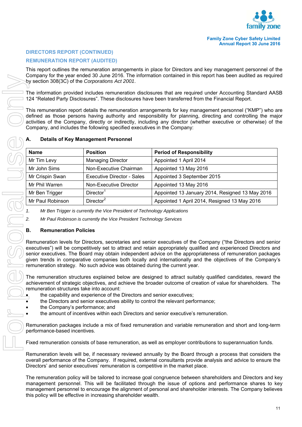

### **REMUNERATION REPORT (AUDITED)**

This report outlines the remuneration arrangements in place for Directors and key management personnel of the Company for the year ended 30 June 2016. The information contained in this report has been audited as required by section 308(3C) of the *Corporations Act 2001*.

### **A. Details of Key Management Personnel**

|                                                                                                                    | by section 308(3C) of the Corporations Act 2001.                                                                                                                                                                                         | Company for the year ended 30 June 2016. The Information contained in this report has been audited as require                                                                                                                                                                                                                                                                                                                                                                                                                                                                                                                                                                                                                                                                         |
|--------------------------------------------------------------------------------------------------------------------|------------------------------------------------------------------------------------------------------------------------------------------------------------------------------------------------------------------------------------------|---------------------------------------------------------------------------------------------------------------------------------------------------------------------------------------------------------------------------------------------------------------------------------------------------------------------------------------------------------------------------------------------------------------------------------------------------------------------------------------------------------------------------------------------------------------------------------------------------------------------------------------------------------------------------------------------------------------------------------------------------------------------------------------|
|                                                                                                                    |                                                                                                                                                                                                                                          | The information provided includes remuneration disclosures that are required under Accounting Standard AAS<br>124 "Related Party Disclosures". These disclosures have been transferred from the Financial Report.                                                                                                                                                                                                                                                                                                                                                                                                                                                                                                                                                                     |
| А.                                                                                                                 | Company, and includes the following specified executives in the Company:<br><b>Details of Key Management Personnel</b>                                                                                                                   | This remuneration report details the remuneration arrangements for key management personnel ("KMP") who a<br>defined as those persons having authority and responsibility for planning, directing and controlling the maj<br>activities of the Company, directly or indirectly, including any director (whether executive or otherwise) of tl                                                                                                                                                                                                                                                                                                                                                                                                                                         |
| <b>Name</b>                                                                                                        | <b>Position</b>                                                                                                                                                                                                                          | <b>Period of Responsibility</b>                                                                                                                                                                                                                                                                                                                                                                                                                                                                                                                                                                                                                                                                                                                                                       |
| Mr Tim Levy                                                                                                        | <b>Managing Director</b>                                                                                                                                                                                                                 | Appointed 1 April 2014                                                                                                                                                                                                                                                                                                                                                                                                                                                                                                                                                                                                                                                                                                                                                                |
| Mr John Sims                                                                                                       | Non-Executive Chairman                                                                                                                                                                                                                   | Appointed 13 May 2016                                                                                                                                                                                                                                                                                                                                                                                                                                                                                                                                                                                                                                                                                                                                                                 |
| Mr Crispin Swan                                                                                                    | <b>Executive Director - Sales</b>                                                                                                                                                                                                        | Appointed 3 September 2015                                                                                                                                                                                                                                                                                                                                                                                                                                                                                                                                                                                                                                                                                                                                                            |
| Mr Phil Warren                                                                                                     | Non-Executive Director                                                                                                                                                                                                                   | Appointed 13 May 2016                                                                                                                                                                                                                                                                                                                                                                                                                                                                                                                                                                                                                                                                                                                                                                 |
| Mr Ben Trigger                                                                                                     | Director <sup>1</sup>                                                                                                                                                                                                                    | Appointed 13 January 2014, Resigned 13 May 2016                                                                                                                                                                                                                                                                                                                                                                                                                                                                                                                                                                                                                                                                                                                                       |
| Mr Paul Robinson                                                                                                   | Director $2$                                                                                                                                                                                                                             | Appointed 1 April 2014, Resigned 13 May 2016                                                                                                                                                                                                                                                                                                                                                                                                                                                                                                                                                                                                                                                                                                                                          |
| <b>Remuneration Policies</b><br>В.<br>remuneration structures take into account:<br>the Company's performance; and | remuneration strategy. No such advice was obtained during the current year.<br>the capability and experience of the Directors and senior executives;<br>the Directors and senior executives ability to control the relevant performance; | Remuneration levels for Directors, secretaries and senior executives of the Company ("the Directors and senic<br>executives") will be competitively set to attract and retain appropriately qualified and experienced Directors an<br>senior executives. The Board may obtain independent advice on the appropriateness of remuneration package<br>given trends in comparative companies both locally and internationally and the objectives of the Company'<br>The remuneration structures explained below are designed to attract suitably qualified candidates, reward th<br>achievement of strategic objectives, and achieve the broader outcome of creation of value for shareholders. Th<br>the amount of incentives within each Directors and senior executive's remuneration. |
| performance-based incentives.                                                                                      |                                                                                                                                                                                                                                          | Remuneration packages include a mix of fixed remuneration and variable remuneration and short and long-terr<br>Fixed remuneration consists of base remuneration, as well as employer contributions to superannuation funds.                                                                                                                                                                                                                                                                                                                                                                                                                                                                                                                                                           |
|                                                                                                                    | Directors' and senior executives' remuneration is competitive in the market place.                                                                                                                                                       | Remuneration levels will be, if necessary reviewed annually by the Board through a process that considers th<br>overall performance of the Company. If required, external consultants provide analysis and advice to ensure th                                                                                                                                                                                                                                                                                                                                                                                                                                                                                                                                                        |
|                                                                                                                    | this policy will be effective in increasing shareholder wealth.                                                                                                                                                                          | The remuneration policy will be tailored to increase goal congruence between shareholders and Directors and k<br>management personnel. This will be facilitated through the issue of options and performance shares to k<br>management personnel to encourage the alignment of personal and shareholder interests. The Company believer                                                                                                                                                                                                                                                                                                                                                                                                                                               |

### **B. Remuneration Policies**

- the capability and experience of the Directors and senior executives;
- the Directors and senior executives ability to control the relevant performance;
- the Company's performance; and
- the amount of incentives within each Directors and senior executive's remuneration.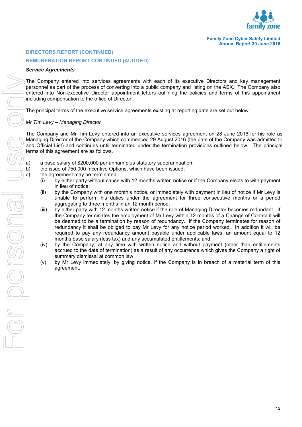

### **DIRECTORS REPORT (CONTINUED) REMUNERATION REPORT CONTINUED (AUDITED)**

### *Service Agreements*

The Company entered into services agreements with each of its executive Directors and key management personnel as part of the process of converting into a public company and listing on the ASX. The Company also entered into Non-executive Director appointment letters outlining the policies and terms of this appointment including compensation to the office of Director.

The principal terms of the executive service agreements existing at reporting date are set out below

### *Mr Tim Levy – Managing Director*

The Company and Mr Tim Levy entered into an executive services agreement on 28 June 2016 for his role as Managing Director of the Company which commenced 29 August 2016 (the date of the Company was admitted to and Official List) and continues until terminated under the termination provisions outlined below. The principal terms of this agreement are as follows.

- a) a base salary of \$200,000 per annum plus statutory superannuation;
- b) the issue of 750,000 Incentive Options, which have been issued;
- c) the agreement may be terminated
	- (i) by either party without cause with 12 months written notice or if the Company elects to with payment in lieu of notice;
	- (ii) by the Company with one month's notice, or immediately with payment in lieu of notice if Mr Levy is unable to perform his duties under the agreement for three consecutive months or a period aggregating to three months in an 12 month period;
	- (iii) by either party with 12 months written notice if the role of Managing Director becomes redundant. If the Company terminates the employment of Mr Levy within 12 months of a Change of Control it will be deemed to be a termination by reason of redundancy. If the Company terminates for reason of redundancy it shall be obliged to pay Mr Levy for any notice period worked. In addition it will be required to pay any redundancy amount payable under applicable laws, an amount equal to 12 months base salary (less tax) and any accumulated entitlements; and
	- (iv) by the Company, at any time with written notice and without payment (other than entitlements accrued to the date of termination) as a result of any occurrence which gives the Company a right of summary dismissal at common law;
	- (v) by Mr Levy immediately, by giving notice, if the Company is in breach of a material term of this agreement.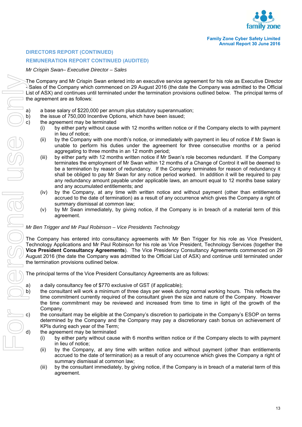

### **REMUNERATION REPORT CONTINUED (AUDITED)**

*Mr Crispin Swan– Executive Director – Sales* 

The Company and Mr Crispin Swan entered into an executive service agreement for his role as Executive Director <sup>1</sup> Sales of the Company which commenced on 29 August 2016 (the date the Company was admitted to the Official  $\exists$  List of ASX) and continues until terminated under the termination provisions outlined below. The principal terms of the agreement are as follows:

- a) a base salary of \$220,000 per annum plus statutory superannuation;
- b) the issue of 750,000 Incentive Options, which have been issued;
- c) the agreement may be terminated
	- (i) by either party without cause with 12 months written notice or if the Company elects to with payment in lieu of notice;
	- (ii) by the Company with one month's notice, or immediately with payment in lieu of notice if Mr Swan is unable to perform his duties under the agreement for three consecutive months or a period aggregating to three months in an 12 month period;
	- (iii) by either party with 12 months written notice if Mr Swan's role becomes redundant. If the Company terminates the employment of Mr Swan within 12 months of a Change of Control it will be deemed to be a termination by reason of redundancy. If the Company terminates for reason of redundancy it shall be obliged to pay Mr Swan for any notice period worked. In addition it will be required to pay any redundancy amount payable under applicable laws, an amount equal to 12 months base salary and any accumulated entitlements; and
	- (iv) by the Company, at any time with written notice and without payment (other than entitlements accrued to the date of termination) as a result of any occurrence which gives the Company a right of summary dismissal at common law;
	- (v) by Mr Swan immediately, by giving notice, if the Company is in breach of a material term of this agreement.

### *Mr Ben Trigger and Mr Paul Robinson – Vice Presidents Technology*

The Company has entered into consultancy agreements with Mr Ben Trigger for his role as Vice President, Technology Applications and Mr Paul Robinson for his role as Vice President, Technology Services (together the **Vice President Consultancy Agreements**). The Vice Presidency Consultancy Agreements commenced on 29 August 2016 (the date the Company was admitted to the Official List of ASX) and continue until terminated under the termination provisions outlined below.

The principal terms of the Vice President Consultancy Agreements are as follows:

- a) a daily consultancy fee of \$770 exclusive of GST (if applicable);
- b) the consultant will work a minimum of three days per week during normal working hours. This reflects the time commitment currently required of the consultant given the size and nature of the Company. However the time commitment may be reviewed and increased from time to time in light of the growth of the Company.
- c) the consultant may be eligible at the Company's discretion to participate in the Company's ESOP on terms determined by the Company and the Company may pay a discretionary cash bonus on achievement of KPIs during each year of the Term;
	- d) the agreement may be terminated
		- (i) by either party without cause with 6 months written notice or if the Company elects to with payment in lieu of notice;
		- (ii) by the Company, at any time with written notice and without payment (other than entitlements accrued to the date of termination) as a result of any occurrence which gives the Company a right of summary dismissal at common law;
		- (iii) by the consultant immediately, by giving notice, if the Company is in breach of a material term of this agreement.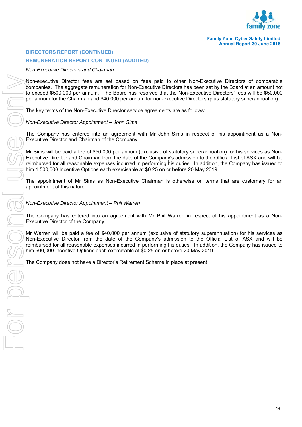

### **REMUNERATION REPORT CONTINUED (AUDITED)**

### *Non-Executive Directors and Chairman*

Non-executive Director fees are set based on fees paid to other Non-Executive Directors of comparable companies. The aggregate remuneration for Non-Executive Directors has been set by the Board at an amount not to exceed \$500,000 per annum. The Board has resolved that the Non-Executive Directors' fees will be \$50,000 per annum for the Chairman and \$40,000 per annum for non-executive Directors (plus statutory superannuation).

The key terms of the Non-Executive Director service agreements are as follows:

*Non-Executive Director Appointment – John Sims*

The Company has entered into an agreement with Mr John Sims in respect of his appointment as a Non-Executive Director and Chairman of the Company.

Mr Sims will be paid a fee of \$50,000 per annum (exclusive of statutory superannuation) for his services as Non-Executive Director and Chairman from the date of the Company's admission to the Official List of ASX and will be reimbursed for all reasonable expenses incurred in performing his duties. In addition, the Company has issued to him 1,500,000 Incentive Options each exercisable at \$0.25 on or before 20 May 2019.

The appointment of Mr Sims as Non-Executive Chairman is otherwise on terms that are customary for an appointment of this nature.

*Non-Executive Director Appointment – Phil Warren* 

The Company has entered into an agreement with Mr Phil Warren in respect of his appointment as a Non-Executive Director of the Company.

Mr Warren will be paid a fee of \$40,000 per annum (exclusive of statutory superannuation) for his services as Non-Executive Director from the date of the Company's admission to the Official List of ASX and will be reimbursed for all reasonable expenses incurred in performing his duties. In addition, the Company has issued to him 500,000 Incentive Options each exercisable at \$0.25 on or before 20 May 2019.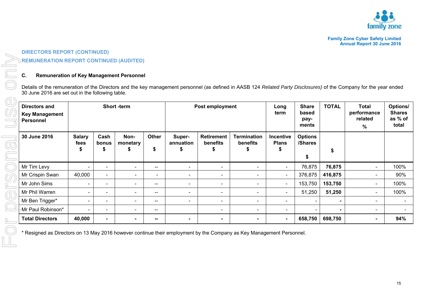

## **REMUNERATION REPORT CONTINUED (AUDITED)**

### **C. Remuneration of Key Management Personnel**

Details of the remuneration of the Directors and the key management personnel (as defined in AASB 124 *Related Party Disclosures)* of the Company for the year ended 30 June 2016 are set out in the following table.

| <b>Directors and</b><br><b>Key Management</b><br><b>Personnel</b> |                          |                          | <b>Short</b> -term       |                          |                          |                               | Post employment<br>Long<br>term     |                           | <b>Share</b><br>based<br>pay-<br>ments | <b>TOTAL</b> | <b>Total</b><br>performance<br>related<br>% | Options/<br><b>Shares</b><br>as % of<br>total |
|-------------------------------------------------------------------|--------------------------|--------------------------|--------------------------|--------------------------|--------------------------|-------------------------------|-------------------------------------|---------------------------|----------------------------------------|--------------|---------------------------------------------|-----------------------------------------------|
| 30 June 2016                                                      | <b>Salary</b><br>fees    | Cash<br>bonus<br>ъ       | Non-<br>monetary<br>ъ    | Other<br>\$              | Super-<br>annuation      | <b>Retirement</b><br>benefits | <b>Termination</b><br>benefits<br>ъ | Incentive<br><b>Plans</b> | <b>Options</b><br>/Shares<br>\$        | \$           |                                             |                                               |
| Mr Tim Levy                                                       | Ξ.                       |                          | $\blacksquare$           | $\sim$                   | $\overline{\phantom{a}}$ | $\sim$                        |                                     |                           | 76,875                                 | 76,875       | $\overline{\phantom{0}}$                    | 100%                                          |
| Mr Crispin Swan                                                   | 40,000                   | $\blacksquare$           | $\blacksquare$           | $\overline{a}$           | $\overline{\phantom{0}}$ | $\blacksquare$                |                                     | $\blacksquare$            | 376,875                                | 416,875      | $\sim$                                      | 90%                                           |
| Mr John Sims                                                      | $\blacksquare$           | $\blacksquare$           | $\blacksquare$           | $\overline{\phantom{a}}$ | $\overline{\phantom{0}}$ | $\sim$                        | $\overline{\phantom{0}}$            | $\blacksquare$            | 153,750                                | 153,750      | $\sim$                                      | 100%                                          |
| Mr Phil Warren                                                    | $\overline{\phantom{0}}$ |                          | $\blacksquare$           | $\hspace{0.05cm}$        |                          | $\overline{\phantom{0}}$      | $\blacksquare$                      | ۰.                        | 51,250                                 | 51,250       | $\sim$                                      | 100%                                          |
| Mr Ben Trigger*                                                   | $\overline{\phantom{0}}$ |                          | $\overline{\phantom{0}}$ | $\mathbf{u}$             | $\overline{\phantom{0}}$ |                               | $\sim$                              | $\blacksquare$            | ٠                                      |              | $\sim$                                      |                                               |
| Mr Paul Robinson*                                                 | $\overline{\phantom{0}}$ | $\overline{\phantom{0}}$ | $\blacksquare$           | --                       |                          | $\overline{\phantom{0}}$      | $\blacksquare$                      | $\sim$                    | ۰                                      |              | $\sim$                                      |                                               |
| <b>Total Directors</b>                                            | 40,000                   |                          | $\blacksquare$           | $\sim$                   |                          | ۰.                            | $\blacksquare$                      | ۰                         | 658,750                                | 698,750      | $\blacksquare$                              | 94%                                           |

\* Resigned as Directors on 13 May 2016 however continue their employment by the Company as Key Management Personnel.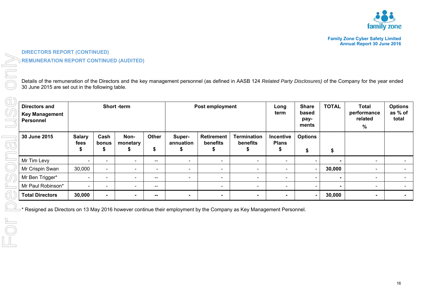

### **REMUNERATION REPORT CONTINUED (AUDITED)**

Details of the remuneration of the Directors and the key management personnel (as defined in AASB 124 *Related Party Disclosures)* of the Company for the year ended 30 June 2015 are set out in the following table.

| <b>Directors and</b><br><b>Key Management</b><br><b>Personnel</b> | <b>Short</b> -term          |                          |                          |                          | Post employment          |                               |                                | Long<br>term                     | <b>Share</b><br>based<br>pay-<br>ments | <b>TOTAL</b> | <b>Total</b><br>performance<br>related<br>% | <b>Options</b><br>as % of<br>total |
|-------------------------------------------------------------------|-----------------------------|--------------------------|--------------------------|--------------------------|--------------------------|-------------------------------|--------------------------------|----------------------------------|----------------------------------------|--------------|---------------------------------------------|------------------------------------|
| 30 June 2015                                                      | <b>Salary</b><br>fees<br>\$ | Cash<br>bonus            | Non-<br>monetary         | Other<br>æ<br>P          | Super-<br>annuation      | <b>Retirement</b><br>benefits | <b>Termination</b><br>benefits | <b>Incentive</b><br><b>Plans</b> | <b>Options</b>                         | \$           |                                             |                                    |
| Mr Tim Levy                                                       |                             | $\overline{\phantom{0}}$ | ۰                        | $\sim$ $\sim$            |                          |                               | $\overline{\phantom{0}}$       |                                  |                                        |              | ۰                                           |                                    |
| Mr Crispin Swan                                                   | 30,000                      | $\blacksquare$           | $\overline{\phantom{0}}$ | $\overline{\phantom{0}}$ | $\sim$                   | $\blacksquare$                | $\overline{a}$                 | $\blacksquare$                   | $\sim$                                 | 30,000       | $\blacksquare$                              |                                    |
| Mr Ben Trigger*                                                   |                             | $\overline{\phantom{0}}$ | $\overline{\phantom{0}}$ | $- -$                    | $\overline{\phantom{0}}$ | $\blacksquare$                | $\overline{\phantom{0}}$       |                                  | $\overline{\phantom{0}}$               | -            | $\overline{\phantom{a}}$                    |                                    |
| Mr Paul Robinson*                                                 |                             |                          |                          | --                       |                          |                               | $\overline{\phantom{0}}$       |                                  | $\overline{\phantom{0}}$               |              | $\overline{\phantom{0}}$                    |                                    |
| <b>Total Directors</b>                                            | 30,000                      | ۰.                       |                          | $\sim$                   |                          |                               | ۰                              |                                  | $\blacksquare$                         | 30,000       | ۰                                           |                                    |

\* Resigned as Directors on 13 May 2016 however continue their employment by the Company as Key Management Personnel.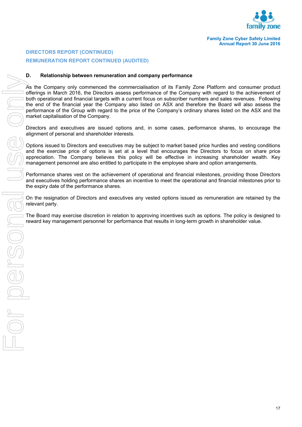

## **DIRECTORS REPORT (CONTINUED) REMUNERATION REPORT CONTINUED (AUDITED)**

### **D. Relationship between remuneration and company performance**

As the Company only commenced the commercialisation of its Family Zone Platform and consumer product offerings in March 2016, the Directors assess performance of the Company with regard to the achievement of both operational and financial targets with a current focus on subscriber numbers and sales revenues. Following the end of the financial year the Company also listed on ASX and therefore the Board will also assess the performance of the Group with regard to the price of the Company's ordinary shares listed on the ASX and the market capitalisation of the Company. **Free Sources of the Directors assess performance of the Company personnel for the Company controlled that results in long-term and consumer of the Company and the Company and for performance of the Company and the company** 

Directors and executives are issued options and, in some cases, performance shares, to encourage the alignment of personal and shareholder interests.

Options issued to Directors and executives may be subject to market based price hurdles and vesting conditions and the exercise price of options is set at a level that encourages the Directors to focus on share price appreciation. The Company believes this policy will be effective in increasing shareholder wealth. Key management personnel are also entitled to participate in the employee share and option arrangements.

Performance shares vest on the achievement of operational and financial milestones, providing those Directors and executives holding performance shares an incentive to meet the operational and financial milestones prior to the expiry date of the performance shares.

On the resignation of Directors and executives any vested options issued as remuneration are retained by the relevant party.

The Board may exercise discretion in relation to approving incentives such as options. The policy is designed to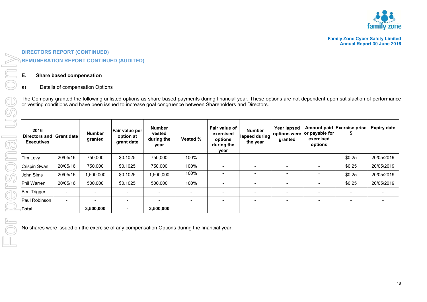

### **REMUNERATION REPORT CONTINUED (AUDITED)**

### **E. Share based compensation**

### a) Details of compensation Options

The Company granted the following unlisted options as share based payments during financial year. These options are not dependent upon satisfaction of performance or vesting conditions and have been issued to increase goal congruence between Shareholders and Directors.

| 2016<br>Directors and<br><b>Executives</b> | <b>∣Grant date</b>       | <b>Number</b><br>granted | Fair value per<br>option at<br>grant date | <b>Number</b><br>vested<br>during the<br>year | Vested %                 | Fair value of<br>exercised<br>options<br>during the<br>year | <b>Number</b><br>lapsed during<br>the year | Year lapsed<br>granted   | options were or payable for<br>exercised<br>options | Amount paid Exercise price<br>ъ | <b>Expiry date</b> |
|--------------------------------------------|--------------------------|--------------------------|-------------------------------------------|-----------------------------------------------|--------------------------|-------------------------------------------------------------|--------------------------------------------|--------------------------|-----------------------------------------------------|---------------------------------|--------------------|
| Tim Levy                                   | 20/05/16                 | 750,000                  | \$0.1025                                  | 750,000                                       | 100%                     | $\blacksquare$                                              |                                            |                          |                                                     | \$0.25                          | 20/05/2019         |
| <b>Crispin Swan</b>                        | 20/05/16                 | 750,000                  | \$0.1025                                  | 750,000                                       | 100%                     | $\overline{\phantom{0}}$                                    | $\overline{\phantom{a}}$                   |                          |                                                     | \$0.25                          | 20/05/2019         |
| John Sims                                  | 20/05/16                 | ,500,000                 | \$0.1025                                  | ,500,000                                      | 100%                     | $\,$                                                        | $\overline{\phantom{0}}$                   |                          |                                                     | \$0.25                          | 20/05/2019         |
| <b>Phil Warren</b>                         | 20/05/16                 | 500,000                  | \$0.1025                                  | 500,000                                       | 100%                     | $\overline{\phantom{a}}$                                    | -                                          | $\overline{\phantom{0}}$ |                                                     | \$0.25                          | 20/05/2019         |
| <b>Ben Trigger</b>                         | $\overline{\phantom{a}}$ | $\overline{\phantom{0}}$ | $\overline{\phantom{a}}$                  |                                               | $\overline{\phantom{a}}$ | $\overline{\phantom{a}}$                                    | $\overline{\phantom{0}}$                   | $\overline{\phantom{0}}$ | $\overline{\phantom{0}}$                            | $\overline{\phantom{a}}$        |                    |
| Paul Robinson                              | $\overline{\phantom{0}}$ |                          | $\blacksquare$                            |                                               |                          | $\blacksquare$                                              | $\overline{\phantom{a}}$                   | $\,$                     |                                                     | $\overline{\phantom{a}}$        |                    |
| Total                                      | $\overline{\phantom{a}}$ | 3,500,000                | $\blacksquare$                            | 3,500,000                                     |                          | $\overline{\phantom{a}}$                                    |                                            |                          |                                                     | $\qquad \qquad \blacksquare$    |                    |

No shares were issued on the exercise of any compensation Options during the financial year.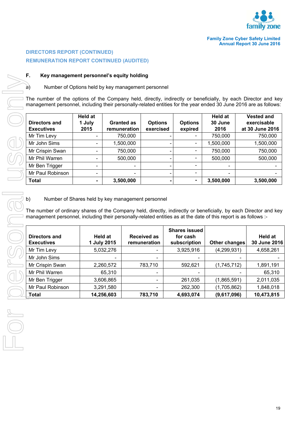

### **DIRECTORS REPORT (CONTINUED) REMUNERATION REPORT CONTINUED (AUDITED)**

### **F. Key management personnel's equity holding**

a) Number of Options held by key management personnel

| The number of the options of the Company held, directly, indirectly or beneficially, by each Director and key<br>management personnel, including their personally-related entities for the year ended 30 June 2016 are as follows: |                                  |                                   |                             |                           |                                   |                                                     |
|------------------------------------------------------------------------------------------------------------------------------------------------------------------------------------------------------------------------------------|----------------------------------|-----------------------------------|-----------------------------|---------------------------|-----------------------------------|-----------------------------------------------------|
| Directors and<br><b>Executives</b>                                                                                                                                                                                                 | <b>Held at</b><br>1 July<br>2015 | <b>Granted as</b><br>remuneration | <b>Options</b><br>exercised | <b>Options</b><br>expired | <b>Held at</b><br>30 June<br>2016 | <b>Vested and</b><br>exercisable<br>at 30 June 2016 |
| Mr Tim Levy                                                                                                                                                                                                                        |                                  | 750,000                           |                             |                           | 750,000                           | 750,000                                             |
| Mr John Sims                                                                                                                                                                                                                       |                                  | 1,500,000                         |                             |                           | 1,500,000                         | 1,500,000                                           |
| Mr Crispin Swan                                                                                                                                                                                                                    |                                  | 750,000                           |                             |                           | 750,000                           | 750,000                                             |
| Mr Phil Warren                                                                                                                                                                                                                     |                                  | 500,000                           |                             |                           | 500,000                           | 500,000                                             |
| Mr Ben Trigger                                                                                                                                                                                                                     |                                  |                                   |                             |                           |                                   |                                                     |
| Mr Paul Robinson                                                                                                                                                                                                                   |                                  |                                   |                             |                           |                                   |                                                     |
| Total                                                                                                                                                                                                                              |                                  | 3,500,000                         |                             |                           | 3,500,000                         | 3,500,000                                           |

### b) Number of Shares held by key management personnel

The number of ordinary shares of the Company held, directly, indirectly or beneficially, by each Director and key management personnel, including their personally-related entities as at the date of this report is as follows :-

| Directors and<br><b>Executives</b> | Held at<br>1 July 2015   | <b>Received as</b><br>remuneration | <b>Shares issued</b><br>for cash<br>subscription | Other changes | Held at<br>30 June 2016 |
|------------------------------------|--------------------------|------------------------------------|--------------------------------------------------|---------------|-------------------------|
| Mr Tim Levy                        | 5,032,276                |                                    | 3,925,916                                        | (4, 299, 931) | 4,658,261               |
| Mr John Sims                       | $\overline{\phantom{0}}$ | ۰                                  | $\overline{\phantom{0}}$                         | ۰             |                         |
| Mr Crispin Swan                    | 2,260,572                | 783,710                            | 592,621                                          | (1,745,712)   | 1,891,191               |
| Mr Phil Warren                     | 65,310                   | ۰                                  |                                                  |               | 65,310                  |
| Mr Ben Trigger                     | 3,606,865                | ۰                                  | 261,035                                          | (1,865,591)   | 2,011,035               |
| Mr Paul Robinson                   | 3,291,580                |                                    | 262,300                                          | (1,705,862)   | 1,848,018               |
| Total                              | 14,256,603               | 783,710                            | 4,693,074                                        | (9,617,096)   | 10,473,815              |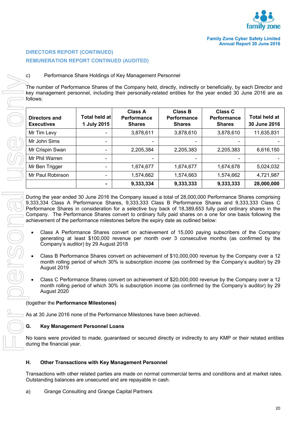

### **DIRECTORS REPORT (CONTINUED) REMUNERATION REPORT CONTINUED (AUDITED)**

c) Performance Share Holdings of Key Management Personnel

| <b>Executives</b>                                                                                                                                                                                                                                                                                                                                                                                                                                                                                   | <b>Directors and</b>       | Total held at<br>1 July 2015          | <b>Class A</b><br>Performance<br><b>Shares</b>                                                                    | <b>Class B</b><br>Performance<br><b>Shares</b> | <b>Class C</b><br>Performance<br><b>Shares</b> | <b>Total held at</b><br>30 June 2016 |  |  |
|-----------------------------------------------------------------------------------------------------------------------------------------------------------------------------------------------------------------------------------------------------------------------------------------------------------------------------------------------------------------------------------------------------------------------------------------------------------------------------------------------------|----------------------------|---------------------------------------|-------------------------------------------------------------------------------------------------------------------|------------------------------------------------|------------------------------------------------|--------------------------------------|--|--|
| Mr Tim Levy                                                                                                                                                                                                                                                                                                                                                                                                                                                                                         |                            |                                       | 3,878,611                                                                                                         | 3,878,610                                      | 3,878,610                                      | 11,635,831                           |  |  |
|                                                                                                                                                                                                                                                                                                                                                                                                                                                                                                     | Mr John Sims               |                                       |                                                                                                                   |                                                |                                                |                                      |  |  |
|                                                                                                                                                                                                                                                                                                                                                                                                                                                                                                     | Mr Crispin Swan            |                                       | 2,205,384                                                                                                         | 2,205,383                                      | 2,205,383                                      | 6,616,150                            |  |  |
|                                                                                                                                                                                                                                                                                                                                                                                                                                                                                                     | Mr Phil Warren             |                                       |                                                                                                                   |                                                |                                                |                                      |  |  |
|                                                                                                                                                                                                                                                                                                                                                                                                                                                                                                     | Mr Ben Trigger             |                                       | 1,674,677                                                                                                         | 1,674,677                                      | 1,674,678                                      | 5,024,032                            |  |  |
|                                                                                                                                                                                                                                                                                                                                                                                                                                                                                                     | Mr Paul Robinson           |                                       | 1,574,662                                                                                                         | 1,574,663                                      | 1,574,662                                      | 4,721,987                            |  |  |
|                                                                                                                                                                                                                                                                                                                                                                                                                                                                                                     |                            |                                       | 9,333,334                                                                                                         | 9,333,333                                      | 9,333,333                                      | 28,000,000                           |  |  |
| Class B Performance Shares convert on achievement of \$10,000,000 revenue by the Company over a 12<br>month rolling period of which 30% is subscription income (as confirmed by the Company's auditor) by 29<br>August 2019<br>Class C Performance Shares convert on achievement of \$20,000,000 revenue by the Company over a 12<br>month rolling period of which 30% is subscription income (as confirmed by the Company's auditor) by 29<br>August 2020<br>(together the Performance Milestones) |                            |                                       |                                                                                                                   |                                                |                                                |                                      |  |  |
| G.                                                                                                                                                                                                                                                                                                                                                                                                                                                                                                  |                            | <b>Key Management Personnel Loans</b> | As at 30 June 2016 none of the Performance Milestones have been achieved.                                         |                                                |                                                |                                      |  |  |
|                                                                                                                                                                                                                                                                                                                                                                                                                                                                                                     | during the financial year. |                                       | No loans were provided to made, guaranteed or secured directly or indirectly to any KMP or their related entities |                                                |                                                |                                      |  |  |
| Η.                                                                                                                                                                                                                                                                                                                                                                                                                                                                                                  |                            |                                       | <b>Other Transactions with Key Management Personnel</b>                                                           |                                                |                                                |                                      |  |  |
| Transactions with other related parties are made on normal commercial terms and conditions and at market rates.<br>Outstanding balances are unsecured and are repayable in cash.                                                                                                                                                                                                                                                                                                                    |                            |                                       |                                                                                                                   |                                                |                                                |                                      |  |  |
|                                                                                                                                                                                                                                                                                                                                                                                                                                                                                                     |                            |                                       |                                                                                                                   |                                                |                                                |                                      |  |  |

- Class A Performance Shares convert on achievement of 15,000 paying subscribers of the Company generating at least \$100,000 revenue per month over 3 consecutive months (as confirmed by the Company's auditor) by 29 August 2018
- Class B Performance Shares convert on achievement of \$10,000,000 revenue by the Company over a 12 month rolling period of which 30% is subscription income (as confirmed by the Company's auditor) by 29 August 2019
- Class C Performance Shares convert on achievement of \$20,000,000 revenue by the Company over a 12 month rolling period of which 30% is subscription income (as confirmed by the Company's auditor) by 29 August 2020

### (together the **Performance Milestones)**

### **G. Key Management Personnel Loans**

### **H. Other Transactions with Key Management Personnel**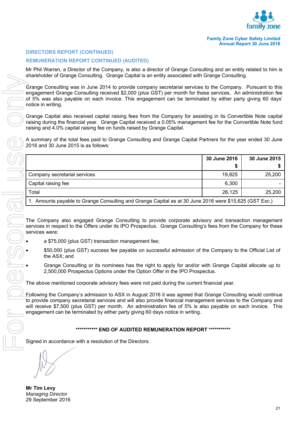

### **REMUNERATION REPORT CONTINUED (AUDITED)**

Mr Phil Warren, a Director of the Company, is also a director of Grange Consulting and an entity related to him is shareholder of Grange Consulting. Grange Capital is an entity associated with Grange Consulting.

Grange Consulting was in June 2014 to provide company secretarial services to the Company. Pursuant to this engagement Grange Consulting received \$2,000 (plus GST) per month for these services. An administration fee of 5% was also payable on each invoice. This engagement can be terminated by either party giving 60 days' notice in writing.

Grange Capital also received capital raising fees from the Company for assisting in its Convertible Note capital raising during the financial year. Grange Capital received a 0.05% management fee for the Convertible Note fund raising and 4.0% capital raising fee on funds raised by Grange Capital.

A summary of the total fees paid to Grange Consulting and Grange Capital Partners for the year ended 30 June 2016 and 30 June 2015 is as follows:

|                                                                                                        | 30 June 2016 | 30 June 2015 |  |  |  |
|--------------------------------------------------------------------------------------------------------|--------------|--------------|--|--|--|
|                                                                                                        |              |              |  |  |  |
| Company secretarial services                                                                           | 19,825       | 25,200       |  |  |  |
| Capital raising fee                                                                                    | 6,300        |              |  |  |  |
| Total                                                                                                  | 26,125       | 25,200       |  |  |  |
| 1. Amounts payable to Grange Consulting and Grange Capital as at 30 June 2016 were \$15,625 (GST Exc.) |              |              |  |  |  |

The Company also engaged Grange Consulting to provide corporate advisory and transaction management services in respect to the Offers under its IPO Prospectus. Grange Consulting's fees from the Company for these services were:

- a \$75,000 (plus GST) transaction management fee;
- \$50,000 (plus GST) success fee payable on successful admission of the Company to the Official List of the ASX; and
- Grange Consulting or its nominees has the right to apply for and/or with Grange Capital allocate up to 2,500,000 Prospectus Options under the Option Offer in the IPO Prospectus.

The above mentioned corporate advisory fees were not paid during the current financial year.

Following the Company's admission to ASX in August 2016 it was agreed that Grange Consulting would continue to provide company secretarial services and will also provide financial management services to the Company and will receive \$7,500 (plus GST) per month. An administration fee of 5% is also payable on each invoice. This engagement can be terminated by either party giving 60 days notice in writing.

### **\*\*\*\*\*\*\*\*\*\*\* END OF AUDITED REMUNERATION REPORT \*\*\*\*\*\*\*\*\*\*\***

Signed in accordance with a resolution of the Directors.

**Mr Tim Levy**  *Managing Director*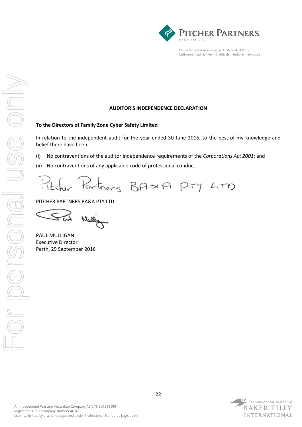

Pitcher Partners is an association of Independent firms Melbourne | Sydney | Perth | Adelaide | Brisbane | Newcastle

### **AUDITOR'S INDEPENDENCE DECLARATION**

### **To the Directors of Family Zone Cyber Safety Limited**

In relation to the independent audit for the year ended 30 June 2016, to the best of my knowledge and belief there have been:

(i) No contraventions of the auditor independence requirements of the *Corporations Act 2001*; and

(ii) No contraventions of any applicable code of professional conduct.

Partners BAXA PTY LTD

PITCHER PARTNERS BA&A PTY LTD

PAUL MULLIGAN Executive Director Perth, 29 September 2016

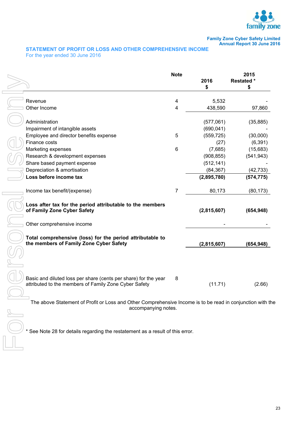

# **STATEMENT OF PROFIT OR LOSS AND OTHER COMPREHENSIVE INCOME**

For the year ended 30 June 2016

|                                                                                                                                  | <b>Note</b> |                          | 2015                    |
|----------------------------------------------------------------------------------------------------------------------------------|-------------|--------------------------|-------------------------|
|                                                                                                                                  |             | 2016                     | Restated *              |
|                                                                                                                                  |             | \$                       | \$                      |
|                                                                                                                                  |             |                          |                         |
| Revenue                                                                                                                          | 4           | 5,532                    |                         |
| Other Income                                                                                                                     | 4           | 438,590                  | 97,860                  |
| Administration                                                                                                                   |             | (577,061)                | (35, 885)               |
| Impairment of intangible assets                                                                                                  |             | (690, 041)               |                         |
| Employee and director benefits expense                                                                                           | 5           | (559, 725)               | (30,000)                |
| Finance costs                                                                                                                    |             | (27)                     | (6, 391)                |
| Marketing expenses                                                                                                               | 6           | (7,685)                  | (15,683)                |
| Research & development expenses                                                                                                  |             | (908, 855)               | (541, 943)              |
| Share based payment expense                                                                                                      |             | (512, 141)               |                         |
| Depreciation & amortisation                                                                                                      |             |                          |                         |
| Loss before income tax                                                                                                           |             | (84, 367)<br>(2,895,780) | (42, 733)<br>(574, 775) |
|                                                                                                                                  |             |                          |                         |
| Income tax benefit/(expense)                                                                                                     | 7           | 80,173                   | (80, 173)               |
| Loss after tax for the period attributable to the members<br>of Family Zone Cyber Safety                                         |             | (2,815,607)              | (654, 948)              |
| Other comprehensive income                                                                                                       |             |                          |                         |
| Total comprehensive (loss) for the period attributable to                                                                        |             |                          |                         |
| the members of Family Zone Cyber Safety                                                                                          |             | (2,815,607)              | (654, 948)              |
|                                                                                                                                  |             |                          |                         |
|                                                                                                                                  |             |                          |                         |
|                                                                                                                                  |             |                          |                         |
| Basic and diluted loss per share (cents per share) for the year<br>attributed to the members of Family Zone Cyber Safety         | 8           | (11.71)                  | (2.66)                  |
|                                                                                                                                  |             |                          |                         |
|                                                                                                                                  |             |                          |                         |
| The above Statement of Profit or Loss and Other Comprehensive Income is to be read in conjunction with th<br>accompanying notes. |             |                          |                         |
| * See Note 28 for details regarding the restatement as a result of this error.                                                   |             |                          |                         |
|                                                                                                                                  |             |                          |                         |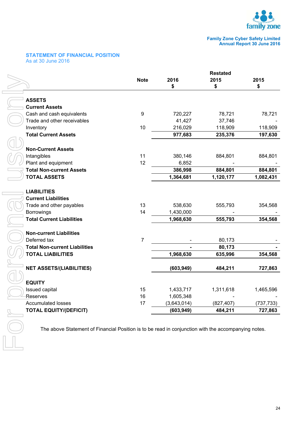

### **STATEMENT OF FINANCIAL POSITION**  As at 30 June 2016

|                                  |                                                                                                                                                                                                                                                                                                                                           |                                                    | <b>Restated</b>                                                                                           |                                                                                         |
|----------------------------------|-------------------------------------------------------------------------------------------------------------------------------------------------------------------------------------------------------------------------------------------------------------------------------------------------------------------------------------------|----------------------------------------------------|-----------------------------------------------------------------------------------------------------------|-----------------------------------------------------------------------------------------|
|                                  | <b>Note</b>                                                                                                                                                                                                                                                                                                                               | 2016                                               | 2015                                                                                                      | 2015                                                                                    |
|                                  |                                                                                                                                                                                                                                                                                                                                           | \$                                                 | \$                                                                                                        | \$                                                                                      |
| <b>ASSETS</b>                    |                                                                                                                                                                                                                                                                                                                                           |                                                    |                                                                                                           |                                                                                         |
| <b>Current Assets</b>            |                                                                                                                                                                                                                                                                                                                                           |                                                    |                                                                                                           |                                                                                         |
| Cash and cash equivalents        | 9                                                                                                                                                                                                                                                                                                                                         | 720,227                                            | 78,721                                                                                                    | 78,721                                                                                  |
| Trade and other receivables      |                                                                                                                                                                                                                                                                                                                                           | 41,427                                             | 37,746                                                                                                    |                                                                                         |
| Inventory                        | 10                                                                                                                                                                                                                                                                                                                                        | 216,029                                            | 118,909                                                                                                   | 118,909                                                                                 |
| <b>Total Current Assets</b>      |                                                                                                                                                                                                                                                                                                                                           | 977,683                                            | 235,376                                                                                                   | 197,630                                                                                 |
|                                  |                                                                                                                                                                                                                                                                                                                                           |                                                    |                                                                                                           |                                                                                         |
|                                  |                                                                                                                                                                                                                                                                                                                                           |                                                    |                                                                                                           | 884,801                                                                                 |
|                                  |                                                                                                                                                                                                                                                                                                                                           |                                                    |                                                                                                           |                                                                                         |
| <b>Total Non-current Assets</b>  |                                                                                                                                                                                                                                                                                                                                           |                                                    |                                                                                                           | 884,801                                                                                 |
| <b>TOTAL ASSETS</b>              |                                                                                                                                                                                                                                                                                                                                           | 1,364,681                                          | 1,120,177                                                                                                 | 1,082,431                                                                               |
|                                  |                                                                                                                                                                                                                                                                                                                                           |                                                    |                                                                                                           |                                                                                         |
|                                  |                                                                                                                                                                                                                                                                                                                                           |                                                    |                                                                                                           |                                                                                         |
|                                  |                                                                                                                                                                                                                                                                                                                                           |                                                    |                                                                                                           | 354,568                                                                                 |
|                                  |                                                                                                                                                                                                                                                                                                                                           |                                                    |                                                                                                           |                                                                                         |
| <b>Total Current Liabilities</b> |                                                                                                                                                                                                                                                                                                                                           | 1,968,630                                          | 555,793                                                                                                   | 354,568                                                                                 |
|                                  |                                                                                                                                                                                                                                                                                                                                           |                                                    |                                                                                                           |                                                                                         |
|                                  |                                                                                                                                                                                                                                                                                                                                           |                                                    |                                                                                                           |                                                                                         |
|                                  |                                                                                                                                                                                                                                                                                                                                           |                                                    |                                                                                                           |                                                                                         |
|                                  |                                                                                                                                                                                                                                                                                                                                           |                                                    |                                                                                                           | 354,568                                                                                 |
|                                  |                                                                                                                                                                                                                                                                                                                                           |                                                    |                                                                                                           |                                                                                         |
| <b>NET ASSETS/(LIABILITIES)</b>  |                                                                                                                                                                                                                                                                                                                                           | (603, 949)                                         | 484,211                                                                                                   | 727,863                                                                                 |
|                                  |                                                                                                                                                                                                                                                                                                                                           |                                                    |                                                                                                           |                                                                                         |
|                                  |                                                                                                                                                                                                                                                                                                                                           |                                                    |                                                                                                           | 1,465,596                                                                               |
|                                  |                                                                                                                                                                                                                                                                                                                                           |                                                    |                                                                                                           |                                                                                         |
| <b>Accumulated losses</b>        | 17                                                                                                                                                                                                                                                                                                                                        |                                                    |                                                                                                           | (737, 733)                                                                              |
| <b>TOTAL EQUITY/(DEFICIT)</b>    |                                                                                                                                                                                                                                                                                                                                           | (603, 949)                                         | 484,211                                                                                                   | 727,863                                                                                 |
|                                  | <b>Non-Current Assets</b><br>Intangibles<br>Plant and equipment<br><b>LIABILITIES</b><br><b>Current Liabilities</b><br>Trade and other payables<br><b>Borrowings</b><br><b>Non-current Liabilities</b><br>Deferred tax<br><b>Total Non-current Liabilities</b><br><b>TOTAL LIABILITIES</b><br><b>EQUITY</b><br>Issued capital<br>Reserves | 11<br>12<br>13<br>14<br>$\overline{7}$<br>15<br>16 | 380,146<br>6,852<br>386,998<br>538,630<br>1,430,000<br>1,968,630<br>1,433,717<br>1,605,348<br>(3,643,014) | 884,801<br>884,801<br>555,793<br>80,173<br>80,173<br>635,996<br>1,311,618<br>(827, 407) |

The above Statement of Financial Position is to be read in conjunction with the accompanying notes.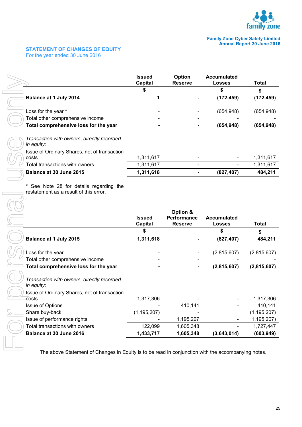

### **STATEMENT OF CHANGES OF EQUITY**

|                                                          | <b>Issued</b><br>Capital | <b>Option</b><br><b>Reserve</b> | <b>Accumulated</b><br>Losses | Total      |
|----------------------------------------------------------|--------------------------|---------------------------------|------------------------------|------------|
|                                                          |                          |                                 |                              | S          |
| Balance at 1 July 2014                                   |                          |                                 | (172, 459)                   | (172, 459) |
| Loss for the year *                                      |                          |                                 | (654, 948)                   | (654, 948) |
| Total other comprehensive income                         |                          |                                 |                              |            |
| Total comprehensive loss for the year                    |                          |                                 | (654, 948)                   | (654, 948) |
| Transaction with owners, directly recorded<br>in equity: |                          |                                 |                              |            |
| Issue of Ordinary Shares, net of transaction<br>costs    | 1,311,617                |                                 |                              | 1,311,617  |
| Total transactions with owners                           | 1,311,617                |                                 |                              | 1,311,617  |
|                                                          |                          |                                 |                              |            |
| Balance at 30 June 2015                                  | 1,311,618                |                                 | (827, 407)                   | 484,211    |

|                                                                                 | <b>Issued</b><br><b>Capital</b> | Option<br><b>Reserve</b> | <b>Accumulated</b><br><b>Losses</b> | <b>Total</b>            |
|---------------------------------------------------------------------------------|---------------------------------|--------------------------|-------------------------------------|-------------------------|
|                                                                                 |                                 |                          | \$                                  | \$                      |
| Balance at 1 July 2014                                                          | 1                               |                          | (172, 459)                          | (172, 459)              |
| Loss for the year *                                                             |                                 |                          | (654, 948)                          | (654, 948)              |
| Total other comprehensive income                                                |                                 |                          |                                     |                         |
| Total comprehensive loss for the year                                           |                                 |                          | (654, 948)                          | (654, 948)              |
| Transaction with owners, directly recorded<br>in equity:                        |                                 |                          |                                     |                         |
| Issue of Ordinary Shares, net of transaction<br>costs                           | 1,311,617                       |                          |                                     | 1,311,617               |
| Total transactions with owners                                                  | 1,311,617                       |                          |                                     | 1,311,617               |
| Balance at 30 June 2015                                                         | 1,311,618                       |                          | (827, 407)                          | 484,211                 |
| See Note 28 for details regarding the<br>restatement as a result of this error. |                                 |                          |                                     |                         |
|                                                                                 | <b>Issued</b>                   | Option &<br>Performance  | <b>Accumulated</b>                  |                         |
|                                                                                 | <b>Capital</b>                  | <b>Reserve</b>           | <b>Losses</b>                       | <b>Total</b>            |
|                                                                                 | \$                              |                          | \$                                  | \$                      |
| Balance at 1 July 2015                                                          | 1,311,618                       |                          | (827, 407)                          | 484,211                 |
| Loss for the year                                                               |                                 |                          | (2,815,607)                         | (2,815,607)             |
| Total other comprehensive income                                                |                                 |                          |                                     |                         |
| Total comprehensive loss for the year                                           |                                 |                          | (2,815,607)                         | (2,815,607)             |
| Transaction with owners, directly recorded                                      |                                 |                          |                                     |                         |
| in equity:<br>Issue of Ordinary Shares, net of transaction                      |                                 |                          |                                     |                         |
| costs                                                                           | 1,317,306                       |                          |                                     | 1,317,306               |
| Issue of Options                                                                |                                 | 410,141                  |                                     | 410,141                 |
| Share buy-back                                                                  | (1, 195, 207)                   |                          |                                     | (1, 195, 207)           |
| Issue of performance rights                                                     |                                 | 1,195,207                |                                     | 1,195,207)              |
| Total transactions with owners<br>Balance at 30 June 2016                       | 122,099<br>1,433,717            | 1,605,348<br>1,605,348   | (3,643,014)                         | 1,727,447<br>(603, 949) |

The above Statement of Changes in Equity is to be read in conjunction with the accompanying notes.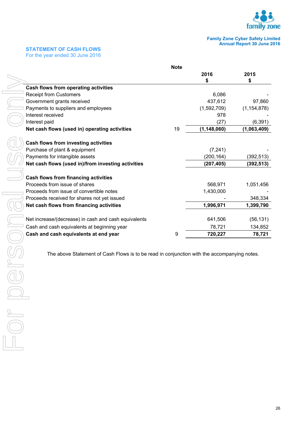

### **STATEMENT OF CASH FLOWS**

For the year ended 30 June 2016

|                                                      | <b>Note</b> |               |               |
|------------------------------------------------------|-------------|---------------|---------------|
|                                                      |             | 2016          | 2015          |
|                                                      |             | S             | \$            |
| <b>Cash flows from operating activities</b>          |             |               |               |
| <b>Receipt from Customers</b>                        |             | 6,086         |               |
| Government grants received                           |             | 437,612       | 97,860        |
| Payments to suppliers and employees                  |             | (1,592,709)   | (1, 154, 878) |
| Interest received                                    |             | 978           |               |
| Interest paid                                        |             | (27)          | (6, 391)      |
| Net cash flows (used in) operating activities        | 19          | (1, 148, 060) | (1,063,409)   |
| Cash flows from investing activities                 |             |               |               |
| Purchase of plant & equipment                        |             | (7, 241)      |               |
| Payments for intangible assets                       |             | (200, 164)    | (392, 513)    |
| Net cash flows (used in)/from investing activities   |             | (207, 405)    |               |
|                                                      |             |               | (392, 513)    |
| Cash flows from financing activities                 |             |               |               |
| Proceeds from issue of shares                        |             | 568,971       | 1,051,456     |
| Proceeds from issue of convertible notes             |             | 1,430,000     |               |
| Proceeds received for shares not yet issued          |             |               | 348,334       |
| Net cash flows from financing activities             |             | 1,996,971     | 1,399,790     |
| Net increase/(decrease) in cash and cash equivalents |             | 641,506       | (56, 131)     |
| Cash and cash equivalents at beginning year          |             | 78,721        | 134,852       |
| Cash and cash equivalents at end year                | 9           | 720,227       | 78,721        |
|                                                      |             |               |               |

The above Statement of Cash Flows is to be read in conjunction with the accompanying notes.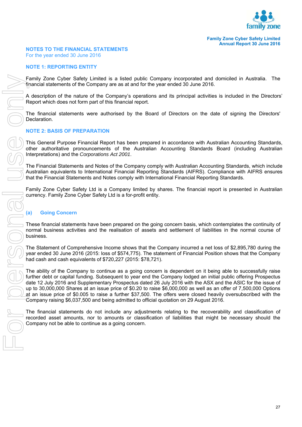

### **NOTES TO THE FINANCIAL STATEMENTS**  For the year ended 30 June 2016

### **NOTE 1: REPORTING ENTITY**

Family Zone Cyber Safety Limited is a listed public Company incorporated and domiciled in Australia. The financial statements of the Company are as at and for the year ended 30 June 2016.

A description of the nature of the Company's operations and its principal activities is included in the Directors' Report which does not form part of this financial report.

The financial statements were authorised by the Board of Directors on the date of signing the Directors' Declaration.

### **NOTE 2: BASIS OF PREPARATION**

This General Purpose Financial Report has been prepared in accordance with Australian Accounting Standards, other authoritative pronouncements of the Australian Accounting Standards Board (including Australian Interpretations) and the *Corporations Act 2001*.

The Financial Statements and Notes of the Company comply with Australian Accounting Standards, which include Australian equivalents to International Financial Reporting Standards (AIFRS). Compliance with AIFRS ensures that the Financial Statements and Notes comply with International Financial Reporting Standards.

Family Zone Cyber Safety Ltd is a Company limited by shares. The financial report is presented in Australian currency. Family Zone Cyber Safety Ltd is a for-profit entity.

### **(a) Going Concern**

These financial statements have been prepared on the going concern basis, which contemplates the continuity of normal business activities and the realisation of assets and settlement of liabilities in the normal course of business.

The Statement of Comprehensive Income shows that the Company incurred a net loss of \$2,895,780 during the year ended 30 June 2016 (2015: loss of \$574,775). The statement of Financial Position shows that the Company had cash and cash equivalents of \$720,227 (2015: \$78,721).

The ability of the Company to continue as a going concern is dependent on it being able to successfully raise further debt or capital funding. Subsequent to year end the Company lodged an initial public offering Prospectus date 12 July 2016 and Supplementary Prospectus dated 26 July 2016 with the ASX and the ASIC for the issue of up to 30,000,000 Shares at an issue price of \$0.20 to raise \$6,000,000 as well as an offer of 7,500,000 Options at an issue price of \$0.005 to raise a further \$37,500. The offers were closed heavily oversubscribed with the Company raising \$6,037,500 and being admitted to official quotation on 29 August 2016.

The financial statements do not include any adjustments relating to the recoverability and classification of recorded asset amounts, nor to amounts or classification of liabilities that might be necessary should the Company not be able to continue as a going concern.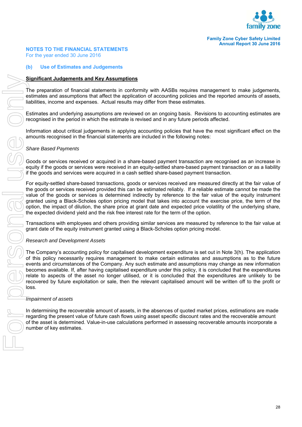

For the year ended 30 June 2016

### **(b) Use of Estimates and Judgements**

### **Significant Judgements and Key Assumptions**

The preparation of financial statements in conformity with AASBs requires management to make judgements, estimates and assumptions that affect the application of accounting policies and the reported amounts of assets, liabilities, income and expenses. Actual results may differ from these estimates.

Estimates and underlying assumptions are reviewed on an ongoing basis. Revisions to accounting estimates are recognised in the period in which the estimate is revised and in any future periods affected.

Information about critical judgements in applying accounting policies that have the most significant effect on the amounts recognised in the financial statements are included in the following notes:

### *Share Based Payments*

Goods or services received or acquired in a share-based payment transaction are recognised as an increase in equity if the goods or services were received in an equity-settled share-based payment transaction or as a liability if the goods and services were acquired in a cash settled share-based payment transaction.

For equity-settled share-based transactions, goods or services received are measured directly at the fair value of the goods or services received provided this can be estimated reliably. If a reliable estimate cannot be made the value of the goods or services is determined indirectly by reference to the fair value of the equity instrument granted using a Black-Scholes option pricing model that takes into account the exercise price, the term of the option, the impact of dilution, the share price at grant date and expected price volatility of the underlying share, the expected dividend yield and the risk free interest rate for the term of the option.

Transactions with employees and others providing similar services are measured by reference to the fair value at grant date of the equity instrument granted using a Black-Scholes option pricing model.

### *Research and Development Assets*

The Company's accounting policy for capitalised development expenditure is set out in Note 3(h). The application of this policy necessarily requires management to make certain estimates and assumptions as to the future events and circumstances of the Company. Any such estimate and assumptions may change as new information becomes available. If, after having capitalised expenditure under this policy, it is concluded that the expenditures relate to aspects of the asset no longer utilised, or it is concluded that the expenditures are unlikely to be recovered by future exploitation or sale, then the relevant capitalised amount will be written off to the profit or loss.

### *Impairment of assets*

In determining the recoverable amount of assets, in the absences of quoted market prices, estimations are made regarding the present value of future cash flows using asset specific discount rates and the recoverable amount of the asset is determined. Value-in-use calculations performed in assessing recoverable amounts incorporate a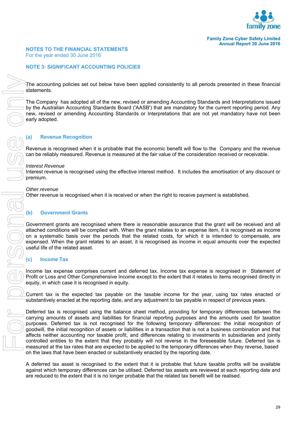

#### **NOTES TO THE FINANCIAL STATEMENTS**  For the year ended 30 June 2016

**NOTE 3: SIGNIFICANT ACCOUNTING POLICIES** 

The accounting policies set out below have been applied consistently to all periods presented in these financial statements.

The Company has adopted all of the new, revised or amending Accounting Standards and Interpretations issued by the Australian Accounting Standards Board ('AASB') that are mandatory for the current reporting period. Any new, revised or amending Accounting Standards or Interpretations that are not yet mandatory have not been early adopted.

### **(a) Revenue Recognition**

Revenue is recognised when it is probable that the economic benefit will flow to the Company and the revenue can be reliably measured. Revenue is measured at the fair value of the consideration received or receivable.

### *Interest Revenue*

Interest revenue is recognised using the effective interest method. It includes the amortisation of any discount or premium.

### *Other revenue*

Other revenue is recognised when it is received or when the right to receive payment is established.

### **(b) Government Grants**

Government grants are recognised where there is reasonable assurance that the grant will be received and all attached conditions will be complied with. When the grant relates to an expense item, it is recognised as income on a systematic basis over the periods that the related costs, for which it is intended to compensate, are expensed. When the grant relates to an asset, it is recognised as income in equal amounts over the expected useful life of the related asset.

### **(c) Income Tax**

Income tax expense comprises current and deferred tax. Income tax expense is recognised in Statement of Profit or Loss and Other Comprehensive Income except to the extent that it relates to items recognised directly in equity, in which case it is recognised in equity.

Current tax is the expected tax payable on the taxable income for the year, using tax rates enacted or substantively enacted at the reporting date, and any adjustment to tax payable in respect of previous years.

Deferred tax is recognised using the balance sheet method, providing for temporary differences between the carrying amounts of assets and liabilities for financial reporting purposes and the amounts used for taxation purposes. Deferred tax is not recognised for the following temporary differences: the initial recognition of goodwill, the initial recognition of assets or liabilities in a transaction that is not a business combination and that affects neither accounting nor taxable profit, and differences relating to investments in subsidiaries and jointly controlled entities to the extent that they probably will not reverse in the foreseeable future. Deferred tax is measured at the tax rates that are expected to be applied to the temporary differences when they reverse, based on the laws that have been enacted or substantively enacted by the reporting date. The accounting policies set out below have been applied consistently to all periods presented<br>
The Company has adopted all of the rew, revised or amending Accounting Standards and Inter<br>
by the Australian Accounting Standa

A deferred tax asset is recognised to the extent that it is probable that future taxable profits will be available against which temporary differences can be utilised. Deferred tax assets are reviewed at each reporting date and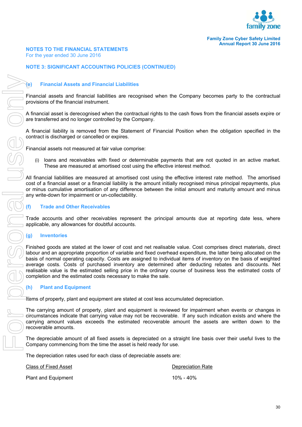

### **NOTES TO THE FINANCIAL STATEMENTS**

For the year ended 30 June 2016

### **NOTE 3: SIGNIFICANT ACCOUNTING POLICIES (CONTINUED)**

### **(e) Financial Assets and Financial Liabilities**

Financial assets and financial liabilities are recognised when the Company becomes party to the contractual provisions of the financial instrument.

A financial asset is derecognised when the contractual rights to the cash flows from the financial assets expire or are transferred and no longer controlled by the Company.

A financial liability is removed from the Statement of Financial Position when the obligation specified in the contract is discharged or cancelled or expires.

Financial assets not measured at fair value comprise:

(i) loans and receivables with fixed or determinable payments that are not quoted in an active market. These are measured at amortised cost using the effective interest method.

All financial liabilities are measured at amortised cost using the effective interest rate method. The amortised cost of a financial asset or a financial liability is the amount initially recognised minus principal repayments, plus or minus cumulative amortisation of any difference between the initial amount and maturity amount and minus any write-down for impairment or un-collectability.

### **(f) Trade and Other Receivables**

Trade accounts and other receivables represent the principal amounts due at reporting date less, where applicable, any allowances for doubtful accounts.

### **(g) Inventories**

Finished goods are stated at the lower of cost and net realisable value. Cost comprises direct materials, direct labour and an appropriate proportion of variable and fixed overhead expenditure, the latter being allocated on the basis of normal operating capacity. Costs are assigned to individual items of inventory on the basis of weighted average costs. Costs of purchased inventory are determined after deducting rebates and discounts. Net realisable value is the estimated selling price in the ordinary course of business less the estimated costs of completion and the estimated costs necessary to make the sale.

### **(h) Plant and Equipment**

Items of property, plant and equipment are stated at cost less accumulated depreciation.

The carrying amount of property, plant and equipment is reviewed for impairment when events or changes in circumstances indicate that carrying value may not be recoverable. If any such indication exists and where the carrying amount values exceeds the estimated recoverable amount the assets are written down to the recoverable amounts.

The depreciable amount of all fixed assets is depreciated on a straight line basis over their useful lives to the Company commencing from the time the asset is held ready for use.

The depreciation rates used for each class of depreciable assets are:

Class of Fixed Asset **Depreciation Rate** Depreciation Rate

Plant and Equipment 10% - 40%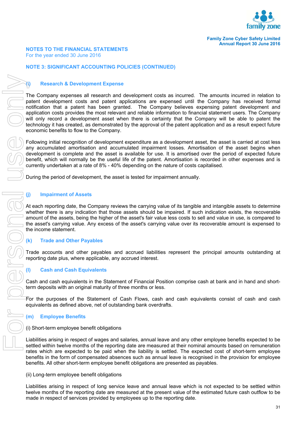

#### **NOTES TO THE FINANCIAL STATEMENTS**  For the year ended 30 June 2016

### **NOTE 3: SIGNIFICANT ACCOUNTING POLICIES (CONTINUED)**

### **(i) Research & Development Expense**

The Company expenses all research and development costs as incurred. The amounts incurred in relation to patent development costs and patent applications are expensed until the Company has received formal notification that a patent has been granted. The Company believes expensing patent development and application costs provides the most relevant and reliable information to financial statement users. The Company will only record a development asset when there is certainty that the Company will be able to patent the technology it has created, as demonstrated by the approval of the patent application and as a result expect future economic benefits to flow to the Company. matrian & Development Expense<br>
The Company expenses all research and development costs as incurred.<br>
In anotheric mbit is probable the respect of the Company believes the matrix and perfection that is personal used with on

Following initial recognition of development expenditure as a development asset, the asset is carried at cost less any accumulated amortisation and accumulated impairment losses. Amortisation of the asset begins when development is complete and the asset is available for use. It is amortised over the period of expected future benefit, which will normally be the useful life of the patent. Amortisation is recorded in other expenses and is currently undertaken at a rate of 8% - 40% depending on the nature of costs capitalised.

During the period of development, the asset is tested for impairment annually.

### **(j) Impairment of Assets**

At each reporting date, the Company reviews the carrying value of its tangible and intangible assets to determine whether there is any indication that those assets should be impaired. If such indication exists, the recoverable amount of the assets, being the higher of the asset's fair value less costs to sell and value in use, is compared to the asset's carrying value. Any excess of the asset's carrying value over its recoverable amount is expensed to the income statement.

### **(k) Trade and Other Payables**

Trade accounts and other payables and accrued liabilities represent the principal amounts outstanding at reporting date plus, where applicable, any accrued interest.

### **(l) Cash and Cash Equivalents**

Cash and cash equivalents in the Statement of Financial Position comprise cash at bank and in hand and shortterm deposits with an original maturity of three months or less.

For the purposes of the Statement of Cash Flows, cash and cash equivalents consist of cash and cash equivalents as defined above, net of outstanding bank overdrafts.

### **(m) Employee Benefits**

### (i) Short-term employee benefit obligations

Liabilities arising in respect of wages and salaries, annual leave and any other employee benefits expected to be settled within twelve months of the reporting date are measured at their nominal amounts based on remuneration rates which are expected to be paid when the liability is settled. The expected cost of short-term employee benefits in the form of compensated absences such as annual leave is recognised in the provision for employee benefits. All other short-term employee benefit obligations are presented as payables.

### (ii) Long-term employee benefit obligations

Liabilities arising in respect of long service leave and annual leave which is not expected to be settled within twelve months of the reporting date are measured at the present value of the estimated future cash outflow to be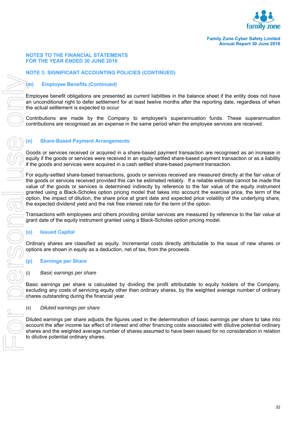

### **NOTES TO THE FINANCIAL STATEMENTS FOR THE YEAR ENDED 30 JUNE 2016**

### **NOTE 3: SIGNIFICANT ACCOUNTING POLICIES (CONTINUED)**

### **(m) Employee Benefits (Continued)**

Employee benefit obligations are presented as current liabilities in the balance sheet if the entity does not have an unconditional right to defer settlement for at least twelve months after the reporting date, regardless of when the actual settlement is expected to occur

Contributions are made by the Company to employee's superannuation funds. These superannuation contributions are recognised as an expense in the same period when the employee services are received.

### **(n) Share-Based Payment Arrangements**

Goods or services received or acquired in a share-based payment transaction are recognised as an increase in equity if the goods or services were received in an equity-settled share-based payment transaction or as a liability if the goods and services were acquired in a cash settled share-based payment transaction.

For equity-settled share-based transactions, goods or services received are measured directly at the fair value of the goods or services received provided this can be estimated reliably. If a reliable estimate cannot be made the value of the goods or services is determined indirectly by reference to the fair value of the equity instrument granted using a Black-Scholes option pricing model that takes into account the exercise price, the term of the option, the impact of dilution, the share price at grant date and expected price volatility of the underlying share, the expected dividend yield and the risk free interest rate for the term of the option.

Transactions with employees and others providing similar services are measured by reference to the fair value at grant date of the equity instrument granted using a Black-Scholes option pricing model.

### **(o) Issued Capital**

Ordinary shares are classified as equity. Incremental costs directly attributable to the issue of new shares or options are shown in equity as a deduction, net of tax, from the proceeds.

### **(p) Earnings per Share**

### (i) *Basic earnings per share*

Basic earnings per share is calculated by dividing the profit attributable to equity holders of the Company, excluding any costs of servicing equity other than ordinary shares, by the weighted average number of ordinary shares outstanding during the financial year.

### (ii) *Diluted earnings per share*

Diluted earnings per share adjusts the figures used in the determination of basic earnings per share to take into account the after income tax effect of interest and other financing costs associated with dilutive potential ordinary shares and the weighted average number of shares assumed to have been issued for no consideration in relation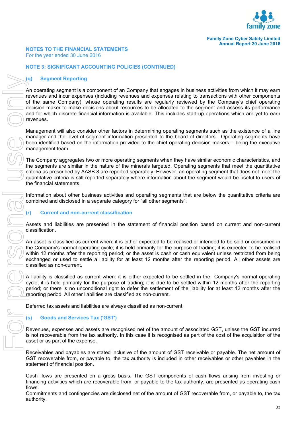

## **NOTES TO THE FINANCIAL STATEMENTS**

For the year ended 30 June 2016

### **NOTE 3: SIGNIFICANT ACCOUNTING POLICIES (CONTINUED)**

### **(q) Segment Reporting**

An operating segment is a component of an Company that engages in business activities from which it may earn revenues and incur expenses (including revenues and expenses relating to transactions with other components of the same Company), whose operating results are regularly reviewed by the Company's chief operating decision maker to make decisions about resources to be allocated to the segment and assess its performance and for which discrete financial information is available. This includes start-up operations which are yet to earn revenues.

Management will also consider other factors in determining operating segments such as the existence of a line manager and the level of segment information presented to the board of directors. Operating segments have been identified based on the information provided to the chief operating decision makers – being the executive management team.

The Company aggregates two or more operating segments when they have similar economic characteristics, and the segments are similar in the nature of the minerals targeted. Operating segments that meet the quantitative criteria as prescribed by AASB 8 are reported separately. However, an operating segment that does not meet the quantitative criteria is still reported separately where information about the segment would be useful to users of the financial statements.

Information about other business activities and operating segments that are below the quantitative criteria are combined and disclosed in a separate category for "all other segments".

### **(r) Current and non-current classification**

Assets and liabilities are presented in the statement of financial position based on current and non-current classification.

An asset is classified as current when: it is either expected to be realised or intended to be sold or consumed in the Company's normal operating cycle; it is held primarily for the purpose of trading; it is expected to be realised within 12 months after the reporting period; or the asset is cash or cash equivalent unless restricted from being exchanged or used to settle a liability for at least 12 months after the reporting period. All other assets are classified as non-current.

A liability is classified as current when: it is either expected to be settled in the Company's normal operating cycle; it is held primarily for the purpose of trading; it is due to be settled within 12 months after the reporting period; or there is no unconditional right to defer the settlement of the liability for at least 12 months after the reporting period. All other liabilities are classified as non-current.

Deferred tax assets and liabilities are always classified as non-current.

### **(s) Goods and Services Tax ('GST')**

Revenues, expenses and assets are recognised net of the amount of associated GST, unless the GST incurred is not recoverable from the tax authority. In this case it is recognised as part of the cost of the acquisition of the asset or as part of the expense.

Receivables and payables are stated inclusive of the amount of GST receivable or payable. The net amount of GST recoverable from, or payable to, the tax authority is included in other receivables or other payables in the statement of financial position.

Cash flows are presented on a gross basis. The GST components of cash flows arising from investing or financing activities which are recoverable from, or payable to the tax authority, are presented as operating cash flows.

Commitments and contingencies are disclosed net of the amount of GST recoverable from, or payable to, the tax authority.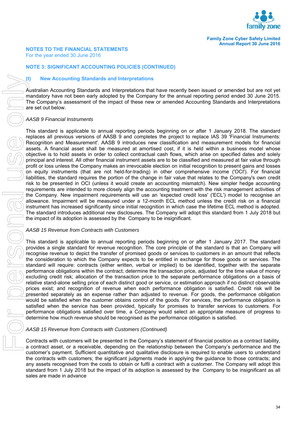

### **NOTES TO THE FINANCIAL STATEMENTS**

For the year ended 30 June 2016

### **NOTE 3: SIGNIFICANT ACCOUNTING POLICIES (CONTINUED)**

### **(t) New Accounting Standards and Interpretations**

Australian Accounting Standards and Interpretations that have recently been issued or amended but are not yet mandatory have not been early adopted by the Company for the annual reporting period ended 30 June 2015. The Company's assessment of the impact of these new or amended Accounting Standards and Interpretations are set out below.

### *AASB 9 Financial Instruments*

This standard is applicable to annual reporting periods beginning on or after 1 January 2018. The standard replaces all previous versions of AASB 9 and completes the project to replace IAS 39 'Financial Instruments: Recognition and Measurement'. AASB 9 introduces new classification and measurement models for financial assets. A financial asset shall be measured at amortised cost, if it is held within a business model whose objective is to hold assets in order to collect contractual cash flows, which arise on specified dates and solely principal and interest. All other financial instrument assets are to be classified and measured at fair value through profit or loss unless the Company makes an irrevocable election on initial recognition to present gains and losses on equity instruments (that are not held-for-trading) in other comprehensive income ('OCI'). For financial liabilities, the standard requires the portion of the change in fair value that relates to the Company's own credit risk to be presented in OCI (unless it would create an accounting mismatch). New simpler hedge accounting requirements are intended to more closely align the accounting treatment with the risk management activities of the Company. New impairment requirements will use an 'expected credit loss' ('ECL') model to recognise an allowance. Impairment will be measured under a 12-month ECL method unless the credit risk on a financial instrument has increased significantly since initial recognition in which case the lifetime ECL method is adopted. The standard introduces additional new disclosures. The Company will adopt this standard from 1 July 2018 but the impact of its adoption is assessed by the Company to be insignificant.

### *AASB 15 Revenue from Contracts with Customers*

This standard is applicable to annual reporting periods beginning on or after 1 January 2017. The standard provides a single standard for revenue recognition. The core principle of the standard is that an Company will recognise revenue to depict the transfer of promised goods or services to customers in an amount that reflects the consideration to which the Company expects to be entitled in exchange for those goods or services. The standard will require: contracts (either written, verbal or implied) to be identified, together with the separate performance obligations within the contract; determine the transaction price, adjusted for the time value of money excluding credit risk; allocation of the transaction price to the separate performance obligations on a basis of relative stand-alone selling price of each distinct good or service, or estimation approach if no distinct observable prices exist; and recognition of revenue when each performance obligation is satisfied. Credit risk will be presented separately as an expense rather than adjusted to revenue. For goods, the performance obligation would be satisfied when the customer obtains control of the goods. For services, the performance obligation is satisfied when the service has been provided, typically for promises to transfer services to customers. For performance obligations satisfied over time, a Company would select an appropriate measure of progress to determine how much revenue should be recognised as the performance obligation is satisfied.

### *AASB 15 Revenue from Contracts with Customers (Continued)*

Contracts with customers will be presented in the Company's statement of financial position as a contract liability, a contract asset, or a receivable, depending on the relationship between the Company's performance and the customer's payment. Sufficient quantitative and qualitative disclosure is required to enable users to understand the contracts with customers; the significant judgments made in applying the guidance to those contracts; and any assets recognised from the costs to obtain or fulfil a contract with a customer. The Company will adopt this standard from 1 July 2018 but the impact of its adoption is assessed by the Company to be insignificant as all sales are made in advance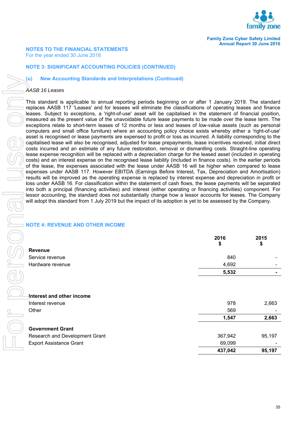

## **NOTES TO THE FINANCIAL STATEMENTS**

For the year ended 30 June 2016

### **NOTE 3: SIGNIFICANT ACCOUNTING POLICIES (CONTINUED)**

### **(u) New Accounting Standards and Interpretations (Continued)**

### *AASB 16 Leases*

This standard is applicable to annual reporting periods beginning on or after 1 January 2019. The standard replaces AASB 117 'Leases' and for lessees will eliminate the classifications of operating leases and finance leases. Subject to exceptions, a 'right-of-use' asset will be capitalised in the statement of financial position, measured as the present value of the unavoidable future lease payments to be made over the lease term. The exceptions relate to short-term leases of 12 months or less and leases of low-value assets (such as personal computers and small office furniture) where an accounting policy choice exists whereby either a 'right-of-use' asset is recognised or lease payments are expensed to profit or loss as incurred. A liability corresponding to the capitalised lease will also be recognised, adjusted for lease prepayments, lease incentives received, initial direct costs incurred and an estimate of any future restoration, removal or dismantling costs. Straight-line operating lease expense recognition will be replaced with a depreciation charge for the leased asset (included in operating costs) and an interest expense on the recognised lease liability (included in finance costs). In the earlier periods of the lease, the expenses associated with the lease under AASB 16 will be higher when compared to lease expenses under AASB 117. However EBITDA (Earnings Before Interest, Tax, Depreciation and Amortisation) results will be improved as the operating expense is replaced by interest expense and depreciation in profit or loss under AASB 16. For classification within the statement of cash flows, the lease payments will be separated into both a principal (financing activities) and interest (either operating or financing activities) component. For lessor accounting, the standard does not substantially change how a lessor accounts for leases. The Company will adopt this standard from 1 July 2019 but the impact of its adoption is yet to be assessed by the Company.

### **NOTE 4: REVENUE AND OTHER INCOME**

|                                | 2016    | 2015   |
|--------------------------------|---------|--------|
| <b>Revenue</b>                 | \$      | \$     |
| Service revenue                | 840     |        |
| Hardware revenue               | 4,692   |        |
|                                | 5,532   |        |
|                                |         |        |
| Interest and other income      |         |        |
| Interest revenue               | 978     | 2,663  |
| Other                          | 569     |        |
|                                | 1,547   | 2,663  |
| <b>Government Grant</b>        |         |        |
| Research and Development Grant | 367,942 | 95,197 |
| <b>Export Assistance Grant</b> | 69,099  |        |
|                                | 437,042 | 95,197 |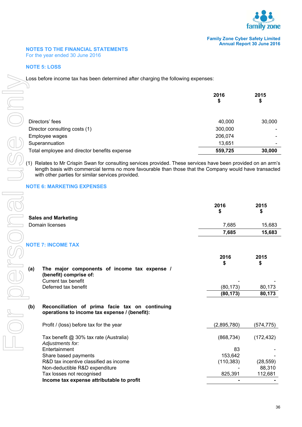

For the year ended 30 June 2016

### **NOTE 5: LOSS**

Loss before income tax has been determined after charging the following expenses:

|                                              | 2016<br>\$ | 2015<br>\$ |
|----------------------------------------------|------------|------------|
| Directors' fees                              | 40,000     | 30,000     |
| Director consulting costs (1)                | 300,000    |            |
| Employee wages                               | 206,074    |            |
| Superannuation                               | 13,651     |            |
| Total employee and director benefits expense | 559,725    | 30,000     |

(1) Relates to Mr Crispin Swan for consulting services provided. These services have been provided on an arm's length basis with commercial terms no more favourable than those that the Company would have transacted with other parties for similar services provided.

|     | <b>NOTE 6: MARKETING EXPENSES</b>                                                                |                        |                  |
|-----|--------------------------------------------------------------------------------------------------|------------------------|------------------|
|     |                                                                                                  | 2016<br>S              | 2015<br>\$       |
|     | <b>Sales and Marketing</b>                                                                       |                        |                  |
|     | Domain licenses                                                                                  | 7,685                  | 15,683           |
|     |                                                                                                  | 7,685                  | 15,683           |
|     | <b>NOTE 7: INCOME TAX</b>                                                                        |                        |                  |
|     |                                                                                                  | 2016<br>S              | 2015<br>\$       |
| (a) | The major components of income tax expense /<br>(benefit) comprise of:                           |                        |                  |
|     | <b>Current tax benefit</b><br>Deferred tax benefit                                               |                        |                  |
|     |                                                                                                  | (80, 173)<br>(80, 173) | 80,173<br>80,173 |
|     |                                                                                                  |                        |                  |
| (b) | Reconciliation of prima facie tax on continuing<br>operations to income tax expense / (benefit): |                        |                  |
|     | Profit / (loss) before tax for the year                                                          | (2,895,780)            | (574, 775)       |
|     | Tax benefit @ 30% tax rate (Australia)<br>Adjustments for:                                       | (868, 734)             | (172, 432)       |
|     | Entertainment                                                                                    | 83                     |                  |
|     | Share based payments                                                                             | 153,642                |                  |
|     | R&D tax incentive classified as income                                                           | (110, 383)             | (28, 559)        |
|     | Non-deductible R&D expenditure                                                                   |                        | 88,310           |
|     | Tax losses not recognised<br>Income tax expense attributable to profit                           | 825,391                | 112,681          |
|     |                                                                                                  |                        |                  |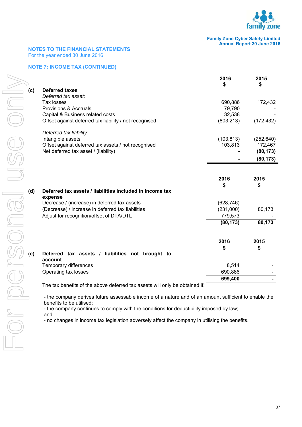

### **NOTES TO THE FINANCIAL STATEMENTS**  For the year ended 30 June 2016

### **NOTE 7: INCOME TAX (CONTINUED)**

|     |                                                                     | 2016       | 2015<br>S  |
|-----|---------------------------------------------------------------------|------------|------------|
| (c) | <b>Deferred taxes</b>                                               |            |            |
|     | Deferred tax asset:                                                 |            |            |
|     | Tax losses                                                          | 690,886    | 172,432    |
|     | Provisions & Accruals                                               | 79,790     |            |
|     | Capital & Business related costs                                    | 32,538     |            |
|     | Offset against deferred tax liability / not recognised              | (803, 213) | (172, 432) |
|     | Deferred tax liability:                                             |            |            |
|     | Intangible assets                                                   | (103, 813) | (252, 640) |
|     | Offset against deferred tax assets / not recognised                 | 103,813    | 172,467    |
|     | Net deferred tax asset / (liability)                                |            | (80,173)   |
|     |                                                                     |            | (80, 173)  |
|     |                                                                     | 2016       | 2015       |
|     |                                                                     | \$         | \$         |
| (d) | Deferred tax assets / liabilities included in income tax<br>expense |            |            |
|     | Decrease / (increase) in deferred tax assets                        | (628, 746) |            |
|     | (Decrease) / increase in deferred tax liabilities                   | (231,000)  | 80,173     |
|     | Adjust for recognition/offset of DTA/DTL                            | 779,573    |            |
|     |                                                                     | (80, 173)  | 80,173     |
|     |                                                                     |            |            |
|     |                                                                     | 2016       | 2015       |
|     |                                                                     | \$         | \$         |
| (e) | Deferred tax assets / liabilities not brought to<br>account         |            |            |
|     | Temporary differences                                               | 8,514      |            |
|     | Operating tax losses                                                | 690,886    |            |
|     |                                                                     | 699,400    |            |
|     |                                                                     |            |            |

The tax benefits of the above deferred tax assets will only be obtained if:

- the company derives future assessable income of a nature and of an amount sufficient to enable the benefits to be utilised;

- the company continues to comply with the conditions for deductibility imposed by law; and

- no changes in income tax legislation adversely affect the company in utilising the benefits.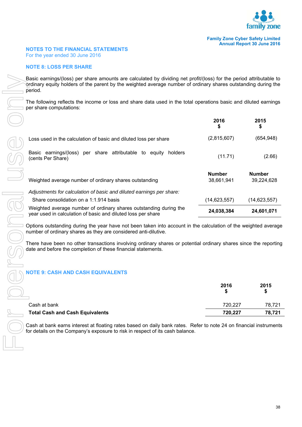

#### **NOTES TO THE FINANCIAL STATEMENTS**  For the year ended 30 June 2016

### **NOTE 8: LOSS PER SHARE**

Basic earnings/(loss) per share amounts are calculated by dividing net profit/(loss) for the period attributable to ordinary equity holders of the parent by the weighted average number of ordinary shares outstanding during the period.

The following reflects the income or loss and share data used in the total operations basic and diluted earnings per share computations:

|                                                                                                                                   | 2016<br>\$                  | 2015<br>S                   |
|-----------------------------------------------------------------------------------------------------------------------------------|-----------------------------|-----------------------------|
| Loss used in the calculation of basic and diluted loss per share                                                                  | (2,815,607)                 | (654, 948)                  |
| Basic earnings/(loss) per share attributable<br>to equity holders<br>(cents Per Share)                                            | (11.71)                     | (2.66)                      |
| Weighted average number of ordinary shares outstanding                                                                            | <b>Number</b><br>38,661,941 | <b>Number</b><br>39,224,628 |
| Adjustments for calculation of basic and diluted earnings per share:                                                              |                             |                             |
| Share consolidation on a 1:1.914 basis                                                                                            | (14, 623, 557)              | (14,623,557)                |
| Weighted average number of ordinary shares outstanding during the<br>year used in calculation of basic and diluted loss per share | 24,038,384                  | 24,601,071                  |

Options outstanding during the year have not been taken into account in the calculation of the weighted average number of ordinary shares as they are considered anti-dilutive.

There have been no other transactions involving ordinary shares or potential ordinary shares since the reporting date and before the completion of these financial statements.

### **NOTE 9: CASH AND CASH EQUIVALENTS**

|                                        | 2016    | 2015   |
|----------------------------------------|---------|--------|
| Cash at bank                           | 720.227 | 78,721 |
| <b>Total Cash and Cash Equivalents</b> | 720,227 | 78.721 |

Cash at bank earns interest at floating rates based on daily bank rates. Refer to note 24 on financial instruments for details on the Company's exposure to risk in respect of its cash balance.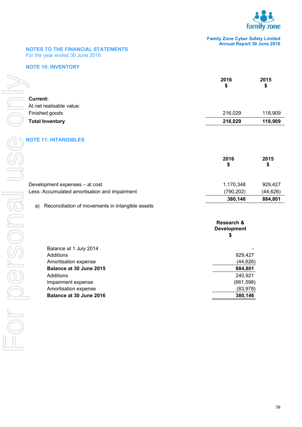

#### **NOTES TO THE FINANCIAL STATEMENTS**  For the year ended 30 June 2016

### **NOTE 10: INVENTORY**

|                          | 2016<br>\$ | 2015<br>\$ |
|--------------------------|------------|------------|
| <b>Current:</b>          |            |            |
| At net realisable value: |            |            |
| Finished goods           | 216,029    | 118,909    |
| <b>Total Inventory</b>   | 216,029    | 118,909    |
|                          |            |            |

| <b>NOTE 11: INTANGIBLES</b>                   |            |            |
|-----------------------------------------------|------------|------------|
|                                               | 2016       | 2015<br>\$ |
| Development expenses - at cost                | 1,170,348  | 929,427    |
| Less: Accumulated amortisation and impairment | (790, 202) | (44, 626)  |
|                                               | 380,146    | 884,801    |

### a) Reconciliation of movements in intangible assets

|                         | Research &<br><b>Development</b><br>\$ |
|-------------------------|----------------------------------------|
| Balance at 1 July 2014  |                                        |
| Additions               | 929,427                                |
| Amortisation expense    | (44,626)                               |
| Balance at 30 June 2015 | 884,801                                |
| Additions               | 240,921                                |
| Impairment expense      | (661, 598)                             |
| Amortisation expense    | (83,978)                               |
| Balance at 30 June 2016 | 380,146                                |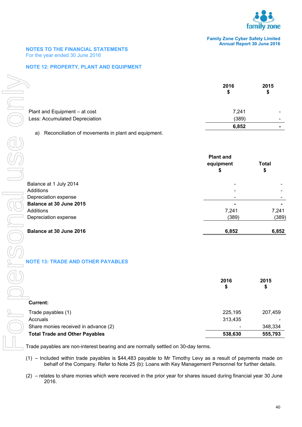

### **NOTES TO THE FINANCIAL STATEMENTS**  For the year ended 30 June 2016

### **NOTE 12: PROPERTY, PLANT AND EQUIPMENT**

|                                | 2016<br>S | 2015<br>\$               |
|--------------------------------|-----------|--------------------------|
| Plant and Equipment - at cost  | 7,241     | $\overline{\phantom{a}}$ |
| Less: Accumulated Depreciation | (389)     | $\overline{\phantom{0}}$ |
|                                | 6,852     |                          |

|                                                                 | 2016<br>\$                          | 2015<br>\$         |
|-----------------------------------------------------------------|-------------------------------------|--------------------|
| Plant and Equipment - at cost<br>Less: Accumulated Depreciation | 7,241<br>(389)                      |                    |
|                                                                 | 6,852                               |                    |
| Reconciliation of movements in plant and equipment.<br>a)       |                                     |                    |
|                                                                 | <b>Plant and</b><br>equipment<br>\$ | <b>Total</b><br>\$ |
| Balance at 1 July 2014<br>Additions                             |                                     |                    |
| Depreciation expense                                            |                                     |                    |
| Balance at 30 June 2015                                         |                                     |                    |
| <b>Additions</b>                                                | 7,241                               | 7,241              |
| Depreciation expense                                            | (389)                               | (389)              |
| Balance at 30 June 2016                                         | 6,852                               | 6,852              |
| <b>NOTE 13: TRADE AND OTHER PAYABLES</b>                        |                                     |                    |
|                                                                 | 2016<br>\$                          | 2015<br>\$         |
|                                                                 |                                     |                    |
| <b>Current:</b>                                                 |                                     |                    |
| Trade payables (1)                                              | 225,195                             | 207,459            |
| Accruals                                                        | 313,435                             |                    |
| Share monies received in advance (2)                            |                                     | 348,334            |
| <b>Total Trade and Other Payables</b>                           | 538,630                             | 555,793            |

### **NOTE 13: TRADE AND OTHER PAYABLES**

|                                       | 2016<br>\$ | 2015<br>\$ |
|---------------------------------------|------------|------------|
| <b>Current:</b>                       |            |            |
| Trade payables (1)                    | 225,195    | 207,459    |
| Accruals                              | 313,435    |            |
| Share monies received in advance (2)  |            | 348,334    |
| <b>Total Trade and Other Payables</b> | 538,630    | 555,793    |

- (1) Included within trade payables is \$44,483 payable to Mr Timothy Levy as a result of payments made on behalf of the Company. Refer to Note 25 (b): Loans with Key Management Personnel for further details.
- (2) relates to share monies which were received in the prior year for shares issued during financial year 30 June 2016.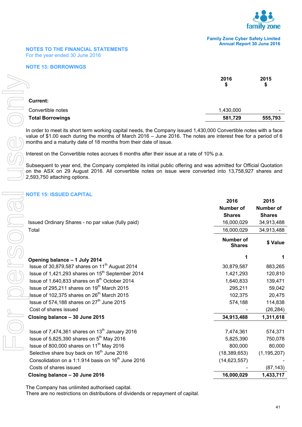

#### **NOTES TO THE FINANCIAL STATEMENTS**  For the year ended 30 June 2016

### **NOTE 13: BORROWINGS**

| 2016<br>\$ | 2015<br>D. |
|------------|------------|
|            |            |
| 1,430,000  | -          |
| 581,729    | 555,793    |
|            |            |

|                                                                                                                                                                                                                                                                                                           | 2016                              | 2015<br>S                |
|-----------------------------------------------------------------------------------------------------------------------------------------------------------------------------------------------------------------------------------------------------------------------------------------------------------|-----------------------------------|--------------------------|
| <b>Current:</b>                                                                                                                                                                                                                                                                                           |                                   |                          |
| Convertible notes                                                                                                                                                                                                                                                                                         | 1,430,000                         |                          |
| <b>Total Borrowings</b>                                                                                                                                                                                                                                                                                   | 581,729                           | 555,793                  |
| In order to meet its short term working capital needs, the Company issued 1,430,000 Convertible notes with a face<br>value of \$1.00 each during the months of March 2016 - June 2016. The notes are interest free for a period of 6<br>months and a maturity date of 18 months from their date of issue. |                                   |                          |
| Interest on the Convertible notes accrues 6 months after their issue at a rate of 10% p.a.                                                                                                                                                                                                                |                                   |                          |
| Subsequent to year end, the Company completed its initial public offering and was admitted for Official Quotation<br>on the ASX on 29 August 2016. All convertible notes on issue were converted into 13,758,927 shares and<br>2,593,750 attaching options.                                               |                                   |                          |
| <b>NOTE 15: ISSUED CAPITAL</b>                                                                                                                                                                                                                                                                            |                                   |                          |
|                                                                                                                                                                                                                                                                                                           | 2016<br><b>Number of</b>          | 2015<br><b>Number of</b> |
|                                                                                                                                                                                                                                                                                                           | <b>Shares</b>                     | <b>Shares</b>            |
| Issued Ordinary Shares - no par value (fully paid)                                                                                                                                                                                                                                                        | 16,000,029                        | 34,913,488               |
| Total                                                                                                                                                                                                                                                                                                     | 16,000,029                        | 34,913,488               |
|                                                                                                                                                                                                                                                                                                           | <b>Number of</b><br><b>Shares</b> | \$ Value                 |
| Opening balance - 1 July 2014                                                                                                                                                                                                                                                                             |                                   |                          |
| Issue of 30,879,587 shares on 11 <sup>th</sup> August 2014                                                                                                                                                                                                                                                | 30,879,587                        | 883,265                  |
| Issue of $1,421,293$ shares on $15th$ September 2014                                                                                                                                                                                                                                                      | 1,421,293                         | 120,810                  |
| Issue of 1,640,833 shares on 8 <sup>th</sup> October 2014                                                                                                                                                                                                                                                 | 1,640,833                         | 139,471                  |
| Issue of 295,211 shares on 19 <sup>th</sup> March 2015                                                                                                                                                                                                                                                    | 295,211                           | 59,042                   |
| Issue of 102,375 shares on 26 <sup>th</sup> March 2015                                                                                                                                                                                                                                                    | 102,375                           | 20,475                   |
| Issue of 574,188 shares on 27 <sup>th</sup> June 2015                                                                                                                                                                                                                                                     | 574,188                           | 114,838                  |
| Cost of shares issued                                                                                                                                                                                                                                                                                     |                                   | (26, 284)                |
| Closing balance - 30 June 2015                                                                                                                                                                                                                                                                            | 34,913,488                        | 1,311,618                |
| Issue of $7,474,361$ shares on $13th$ January 2016                                                                                                                                                                                                                                                        | 7,474,361                         | 574,371                  |
| Issue of 5,825,390 shares on $5^{th}$ May 2016                                                                                                                                                                                                                                                            | 5,825,390                         | 750,078                  |
| Issue of 800,000 shares on 11 <sup>th</sup> May 2016                                                                                                                                                                                                                                                      | 800,000                           | 80,000                   |
| Selective share buy back on 16 <sup>th</sup> June 2016                                                                                                                                                                                                                                                    | (18, 389, 653)                    | (1, 195, 207)            |
|                                                                                                                                                                                                                                                                                                           |                                   |                          |
|                                                                                                                                                                                                                                                                                                           |                                   |                          |
| Consolidation on a 1:1.914 basis on 16 <sup>th</sup> June 2016<br>Costs of shares issued                                                                                                                                                                                                                  | (14, 623, 557)                    | (87, 143)                |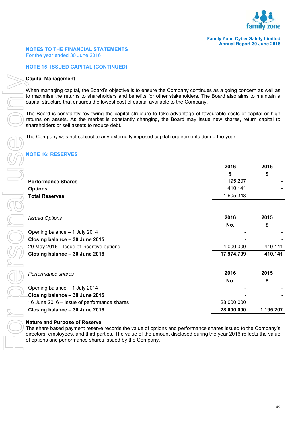

#### **NOTES TO THE FINANCIAL STATEMENTS**  For the year ended 30 June 2016

### **NOTE 15: ISSUED CAPITAL (CONTINUED)**

### **Capital Management**

### **NOTE 16: RESERVES**

|                           | 2016      | 2015           |
|---------------------------|-----------|----------------|
|                           |           | \$             |
| <b>Performance Shares</b> | 1,195,207 |                |
| <b>Options</b>            | 410,141   | ۰              |
| <b>Total Reserves</b>     | 1,605,348 | $\blacksquare$ |
|                           |           |                |

| <b>Capital Management</b>                                                                                                                                                                                                                                                                                              |                          |            |
|------------------------------------------------------------------------------------------------------------------------------------------------------------------------------------------------------------------------------------------------------------------------------------------------------------------------|--------------------------|------------|
| When managing capital, the Board's objective is to ensure the Company continues as a going concern as well as<br>to maximise the returns to shareholders and benefits for other stakeholders. The Board also aims to maintain a<br>capital structure that ensures the lowest cost of capital available to the Company. |                          |            |
| The Board is constantly reviewing the capital structure to take advantage of favourable costs of capital or high<br>returns on assets. As the market is constantly changing, the Board may issue new shares, return capital to<br>shareholders or sell assets to reduce debt.                                          |                          |            |
| The Company was not subject to any externally imposed capital requirements during the year.                                                                                                                                                                                                                            |                          |            |
| <b>NOTE 16: RESERVES</b>                                                                                                                                                                                                                                                                                               |                          |            |
|                                                                                                                                                                                                                                                                                                                        | 2016<br>\$               | 2015<br>\$ |
| <b>Performance Shares</b>                                                                                                                                                                                                                                                                                              | 1,195,207                |            |
| <b>Options</b>                                                                                                                                                                                                                                                                                                         | 410,141                  |            |
| <b>Total Reserves</b>                                                                                                                                                                                                                                                                                                  | 1,605,348                |            |
| <b>Issued Options</b>                                                                                                                                                                                                                                                                                                  | 2016                     | 2015       |
|                                                                                                                                                                                                                                                                                                                        |                          | S          |
| Opening balance - 1 July 2014                                                                                                                                                                                                                                                                                          | No.                      |            |
| Closing balance - 30 June 2015                                                                                                                                                                                                                                                                                         |                          |            |
| 20 May 2016 - Issue of incentive options                                                                                                                                                                                                                                                                               | 4,000,000                | 410,141    |
| Closing balance - 30 June 2016                                                                                                                                                                                                                                                                                         | 17,974,709               | 410,141    |
| Performance shares                                                                                                                                                                                                                                                                                                     | 2016                     | 2015       |
|                                                                                                                                                                                                                                                                                                                        | No.                      | \$         |
| Opening balance - 1 July 2014                                                                                                                                                                                                                                                                                          |                          |            |
| Closing balance - 30 June 2015                                                                                                                                                                                                                                                                                         |                          |            |
| 16 June 2016 - Issue of performance shares<br>Closing balance - 30 June 2016                                                                                                                                                                                                                                           | 28,000,000<br>28,000,000 | 1,195,207  |
| <b>Nature and Purpose of Reserve</b>                                                                                                                                                                                                                                                                                   |                          |            |

### **Nature and Purpose of Reserve**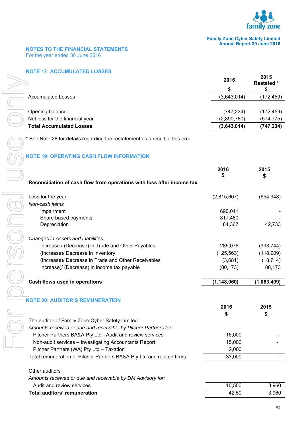

### **NOTES TO THE FINANCIAL STATEMENTS**

For the year ended 30 June 2016

### **NOTE 17: ACCUMULATED LOSSES**

|                                 | 2016<br>S   | 2015<br><b>Restated *</b> |
|---------------------------------|-------------|---------------------------|
| Accumulated Losses              | (3,643,014) | (172, 459)                |
| Opening balance                 | (747, 234)  | (172, 459)                |
| Net loss for the financial year | (2,890,780) | (574, 775)                |
| <b>Total Accumulated Losses</b> | (3,643,014) | (747, 234)                |

### **NOTE 19: OPERATING CASH FLOW INFORMATION**

|                                                                             | 2016          | 2015<br>Restated * |
|-----------------------------------------------------------------------------|---------------|--------------------|
|                                                                             | \$            | \$                 |
| <b>Accumulated Losses</b>                                                   | (3,643,014)   | (172, 459)         |
| Opening balance                                                             | (747, 234)    | (172, 459)         |
| Net loss for the financial year                                             | (2,890,780)   | (574, 775)         |
| <b>Total Accumulated Losses</b>                                             | (3,643,014)   | (747, 234)         |
| See Note 28 for details regarding the restatement as a result of this error |               |                    |
| <b>NOTE 19: OPERATING CASH FLOW INFORMATION</b>                             |               |                    |
|                                                                             | 2016<br>S     | 2015<br>\$         |
| Reconciliation of cash flow from operations with loss after income tax      |               |                    |
| Loss for the year                                                           | (2,815,607)   | (654, 948)         |
| Non-cash items                                                              |               |                    |
| Impairment                                                                  | 690,041       |                    |
| Share based payments                                                        | 817,480       |                    |
| Depreciation                                                                | 84,367        | 42,733             |
| <b>Changes in Assets and Liabilities</b>                                    |               |                    |
| Increase / (Decrease) in Trade and Other Payables                           | 285,076       | (393, 744)         |
| (Increase)/ Decrease in Inventory                                           | (125, 563)    | (118,909)          |
| (Increase)/ Decrease in Trade and Other Receivables                         | (3,681)       | (18, 714)          |
| Increase)/ (Decrease) in income tax payable                                 | (80, 173)     | 80,173             |
| Cash flows used in operations                                               | (1, 148, 060) | (1,063,409)        |
|                                                                             |               |                    |
| <b>NOTE 20: AUDITOR'S REMUNERATION</b>                                      |               |                    |
|                                                                             | 2016          | 2015               |
|                                                                             | \$            | \$                 |
| The auditor of Family Zone Cyber Safety Limited                             |               |                    |
| Amounts received or due and receivable by Pitcher Partners for:             |               |                    |
| Pitcher Partners BA&A Pty Ltd - Audit and review services                   | 16,000        |                    |
| Non-audit services - Investigating Accountants Report                       | 15,000        |                    |
| Pitcher Partners (WA) Pty Ltd - Taxation                                    | 2,000         |                    |
| Total remuneration of Pitcher Partners BA&A Pty Ltd and related firms       | 33,000        |                    |
| Other auditors                                                              |               |                    |
| Amounts received or due and receivable by DM Advisory for:                  |               |                    |
| Audit and review services                                                   | 10,550        | 3,960              |
| Total auditors' remuneration                                                | 42,50         | 3,960              |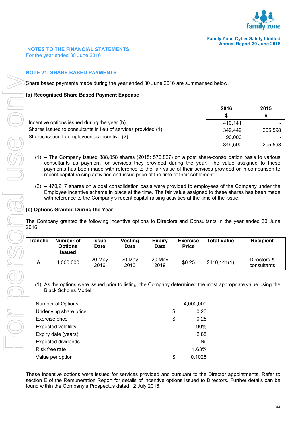

For the year ended 30 June 2016

### **NOTE 21: SHARE BASED PAYMENTS**

Share based payments made during the year ended 30 June 2016 are summarised below.

### **(a) Recognised Share Based Payment Expense**

|                                                               | 2016    | 2015    |
|---------------------------------------------------------------|---------|---------|
|                                                               | S       |         |
| Incentive options issued during the year (b)                  | 410.141 |         |
| Shares issued to consultants in lieu of services provided (1) | 349,449 | 205,598 |
| Shares issued to employees as incentive (2)                   | 90,000  |         |
|                                                               | 849.590 | 205,598 |

- (1) The Company issued 888,058 shares (2015: 576,827) on a post share-consolidation basis to various consultants as payment for services they provided during the year. The value assigned to these payments has been made with reference to the fair value of their services provided or in comparison to recent capital raising activities and issue price at the time of their settlement.
- $(2)$  470.217 shares on a post consolidation basis were provided to employees of the Company under the Employee incentive scheme in place at the time. The fair value assigned to these shares has been made with reference to the Company's recent capital raising activities at the time of the issue.

The Company granted the following incentive options to Directors and Consultants in the year ended 30 June 2016:

| <b>Tranche</b> | Number of<br><b>Options</b><br><b>Issued</b> | Issue<br><b>Date</b> | Vesting<br><b>Date</b> | <b>Expiry</b><br>Date | <b>Exercise</b><br><b>Price</b> | <b>Total Value</b> | <b>Recipient</b>           |
|----------------|----------------------------------------------|----------------------|------------------------|-----------------------|---------------------------------|--------------------|----------------------------|
| Α              | 4,000,000                                    | 20 May<br>2016       | 20 May<br>2016         | 20 May<br>2019        | \$0.25                          | \$410,141(1)       | Directors &<br>consultants |

(1) As the options were issued prior to listing, the Company determined the most appropriate value using the Black Scholes Model

| Number of Options          | 4,000,000    |
|----------------------------|--------------|
| Underlying share price     | \$<br>0.20   |
| Exercise price             | \$<br>0.25   |
| <b>Expected volatility</b> | 90%          |
| Expiry date (years)        | 2.85         |
| <b>Expected dividends</b>  | Nil          |
| Risk free rate             | 1.63%        |
| Value per option           | \$<br>0.1025 |

These incentive options were issued for services provided and pursuant to the Director appointments. Refer to section E of the Remuneration Report for details of incentive options issued to Directors. Further details can be found within the Company's Prospectus dated 12 July 2016.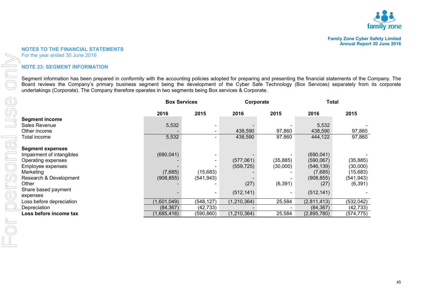

For the year ended 30 June 2016

### **NOTE 23: SEGMENT INFORMATION**

Segment information has been prepared in conformity with the accounting policies adopted for preparing and presenting the financial statements of the Company. The Board reviews the Company's primary business segment being the development of the Cyber Safe Technology (Box Services) separately from its corporate undertakings (Corporate). The Company therefore operates in two segments being Box services & Corporate.

|                                 | <b>Box Services</b> |            | Corporate     |           | <b>Total</b> |            |
|---------------------------------|---------------------|------------|---------------|-----------|--------------|------------|
|                                 | 2016                | 2015       | 2016          | 2015      | 2016         | 2015       |
| <b>Segment income</b>           |                     |            |               |           |              |            |
| Sales Revenue                   | 5,532               |            |               |           | 5,532        |            |
| Other income                    |                     |            | 438,590       | 97,860    | 438,590      | 97,860     |
| Total income                    | 5,532               |            | 438,590       | 97,860    | 444,122      | 97,860     |
| <b>Segment expenses</b>         |                     |            |               |           |              |            |
| Impairment of intangibles       | (690, 041)          |            |               |           | (690, 041)   |            |
| Operating expenses              |                     |            | (577,061)     | (35, 885) | (590, 067)   | (35, 885)  |
| Employee expenses               |                     |            | (559, 725)    | (30,000)  | (546, 139)   | (30,000)   |
| Marketing                       | (7,685)             | (15,683)   |               |           | (7,685)      | (15, 683)  |
| Research & Development          | (908, 855)          | (541, 943) |               |           | (908, 855)   | (541, 943) |
| Other                           |                     |            | (27)          | (6, 391)  | (27)         | (6, 391)   |
| Share based payment<br>expenses |                     |            | (512, 141)    |           | (512, 141)   |            |
| Loss before depreciation        | ,601,049)           | (548, 127) | (1, 210, 364) | 25,584    | (2,811,413)  | (532, 042) |
| Depreciation                    | (84, 367)           | (42, 733)  |               |           | (84, 367)    | (42, 733)  |
| Loss before income tax          | ,685,416)           | (590, 860) | (1, 210, 364) | 25,584    | (2,895,780)  | (574, 775) |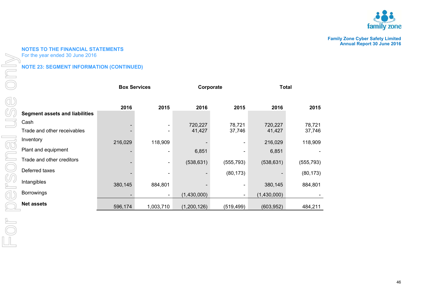

For the year ended 30 June 2016

**NOTE 23: SEGMENT INFORMATION (CONTINUED)** 

|                                       | <b>Box Services</b> |                          | Corporate   |                          | <b>Total</b> |            |
|---------------------------------------|---------------------|--------------------------|-------------|--------------------------|--------------|------------|
|                                       | 2016                | 2015                     | 2016        | 2015                     | 2016         | 2015       |
| <b>Segment assets and liabilities</b> |                     |                          |             |                          |              |            |
| Cash                                  |                     | $\overline{\phantom{a}}$ | 720,227     | 78,721                   | 720,227      | 78,721     |
| Trade and other receivables           |                     |                          | 41,427      | 37,746                   | 41,427       | 37,746     |
| Inventory                             | 216,029             | 118,909                  |             | $\overline{\phantom{0}}$ | 216,029      | 118,909    |
| Plant and equipment                   |                     |                          | 6,851       |                          | 6,851        |            |
| Trade and other creditors             |                     | ۰                        | (538, 631)  | (555, 793)               | (538, 631)   | (555, 793) |
| Deferred taxes                        |                     | -                        |             | (80, 173)                |              | (80, 173)  |
| Intangibles                           | 380,145             | 884,801                  |             |                          | 380,145      | 884,801    |
| <b>Borrowings</b>                     |                     | $\blacksquare$           | (1,430,000) | $\blacksquare$           | (1,430,000)  |            |
| <b>Net assets</b>                     | 596,174             | 1,003,710                | (1,200,126) | (519, 499)               | (603, 952)   | 484,211    |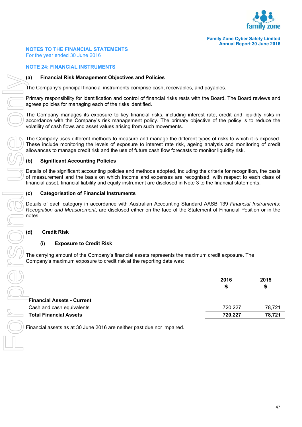

#### **NOTES TO THE FINANCIAL STATEMENTS**  For the year ended 30 June 2016

### **NOTE 24: FINANCIAL INSTRUMENTS**

### **(a) Financial Risk Management Objectives and Policies**

### **(b) Significant Accounting Policies**

### **(c) Categorisation of Financial Instruments**

### **(d) Credit Risk**

### **(i) Exposure to Credit Risk**

| <b>Financial Risk Management Objectives and Policies</b><br>(a)                                                                                                                                                                                                                                                                                     |         |        |
|-----------------------------------------------------------------------------------------------------------------------------------------------------------------------------------------------------------------------------------------------------------------------------------------------------------------------------------------------------|---------|--------|
| The Company's principal financial instruments comprise cash, receivables, and payables.                                                                                                                                                                                                                                                             |         |        |
| Primary responsibility for identification and control of financial risks rests with the Board. The Board reviews and<br>agrees policies for managing each of the risks identified.                                                                                                                                                                  |         |        |
| The Company manages its exposure to key financial risks, including interest rate, credit and liquidity risks in<br>accordance with the Company's risk management policy. The primary objective of the policy is to reduce the<br>volatility of cash flows and asset values arising from such movements.                                             |         |        |
| The Company uses different methods to measure and manage the different types of risks to which it is exposed.<br>These include monitoring the levels of exposure to interest rate risk, ageing analysis and monitoring of credit<br>allowances to manage credit risk and the use of future cash flow forecasts to monitor liquidity risk.           |         |        |
| <b>Significant Accounting Policies</b><br>(b)                                                                                                                                                                                                                                                                                                       |         |        |
| Details of the significant accounting policies and methods adopted, including the criteria for recognition, the basis<br>of measurement and the basis on which income and expenses are recognised, with respect to each class of<br>financial asset, financial liability and equity instrument are disclosed in Note 3 to the financial statements. |         |        |
| (c)<br><b>Categorisation of Financial Instruments</b>                                                                                                                                                                                                                                                                                               |         |        |
| Details of each category in accordance with Australian Accounting Standard AASB 139 Financial Instruments:<br>Recognition and Measurement, are disclosed either on the face of the Statement of Financial Position or in the<br>notes.                                                                                                              |         |        |
| <b>Credit Risk</b><br>(d)                                                                                                                                                                                                                                                                                                                           |         |        |
| (i)<br><b>Exposure to Credit Risk</b>                                                                                                                                                                                                                                                                                                               |         |        |
| The carrying amount of the Company's financial assets represents the maximum credit exposure. The<br>Company's maximum exposure to credit risk at the reporting date was:                                                                                                                                                                           |         |        |
|                                                                                                                                                                                                                                                                                                                                                     | 2016    | 2015   |
|                                                                                                                                                                                                                                                                                                                                                     | \$      | \$     |
| <b>Financial Assets - Current</b>                                                                                                                                                                                                                                                                                                                   |         |        |
| Cash and cash equivalents                                                                                                                                                                                                                                                                                                                           | 720,227 | 78,721 |
| <b>Total Financial Assets</b>                                                                                                                                                                                                                                                                                                                       | 720,227 | 78,721 |
| Financial assets as at 30 June 2016 are neither past due nor impaired.                                                                                                                                                                                                                                                                              |         |        |
|                                                                                                                                                                                                                                                                                                                                                     |         |        |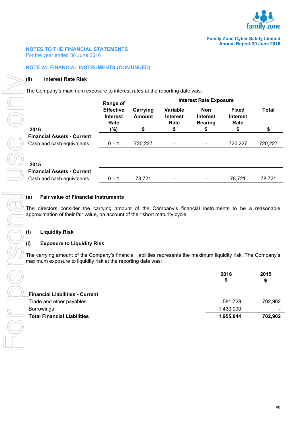

For the year ended 30 June 2016

### **NOTE 24: FINANCIAL INSTRUMENTS (CONTINUED)**

### **(ii) Interest Rate Risk**

| (ii)<br><b>Interest Rate Risk</b>                                                                                                                                                                                                                                                                                                                                                                                                                    |                                             |                           |                                     |                                                 |                                         |              |
|------------------------------------------------------------------------------------------------------------------------------------------------------------------------------------------------------------------------------------------------------------------------------------------------------------------------------------------------------------------------------------------------------------------------------------------------------|---------------------------------------------|---------------------------|-------------------------------------|-------------------------------------------------|-----------------------------------------|--------------|
| The Company's maximum exposure to interest rates at the reporting date was:                                                                                                                                                                                                                                                                                                                                                                          |                                             |                           |                                     |                                                 |                                         |              |
|                                                                                                                                                                                                                                                                                                                                                                                                                                                      | <b>Range of</b>                             |                           |                                     | <b>Interest Rate Exposure</b>                   |                                         |              |
|                                                                                                                                                                                                                                                                                                                                                                                                                                                      | <b>Effective</b><br><b>Interest</b><br>Rate | Carrying<br><b>Amount</b> | Variable<br><b>Interest</b><br>Rate | <b>Non</b><br><b>Interest</b><br><b>Bearing</b> | <b>Fixed</b><br><b>Interest</b><br>Rate | <b>Total</b> |
| 2016                                                                                                                                                                                                                                                                                                                                                                                                                                                 | $(\%)$                                      | \$                        | \$                                  | \$                                              | \$                                      | \$           |
| <b>Financial Assets - Current</b><br>Cash and cash equivalents                                                                                                                                                                                                                                                                                                                                                                                       | $0 - 1$                                     | 720,227                   |                                     |                                                 | 720,227                                 | 720,227      |
| 2015                                                                                                                                                                                                                                                                                                                                                                                                                                                 |                                             |                           |                                     |                                                 |                                         |              |
| <b>Financial Assets - Current</b><br>Cash and cash equivalents                                                                                                                                                                                                                                                                                                                                                                                       | $0 - 1$                                     | 78,721                    |                                     |                                                 | 78,721                                  | 78,721       |
| The directors consider the carrying amount of the Company's financial instruments to be a reasonable<br>approximation of their fair value, on account of their short maturity cycle.<br><b>Liquidity Risk</b><br>(f)<br><b>Exposure to Liquidity Risk</b><br>(i)<br>The carrying amount of the Company's financial liabilities represents the maximum liquidity risk. The Company's<br>maximum exposure to liquidity risk at the reporting date was: |                                             |                           |                                     |                                                 |                                         |              |
|                                                                                                                                                                                                                                                                                                                                                                                                                                                      |                                             |                           |                                     |                                                 | 2016<br>\$                              | 2015<br>\$   |
| <b>Financial Liabilities - Current</b>                                                                                                                                                                                                                                                                                                                                                                                                               |                                             |                           |                                     |                                                 |                                         |              |
| Trade and other payables<br><b>Borrowings</b>                                                                                                                                                                                                                                                                                                                                                                                                        |                                             |                           |                                     |                                                 | 581,729<br>1,430,000                    | 702,902      |
| <b>Total Financial Liabilities</b>                                                                                                                                                                                                                                                                                                                                                                                                                   |                                             |                           |                                     |                                                 | 1,955,044                               | 702,902      |
|                                                                                                                                                                                                                                                                                                                                                                                                                                                      |                                             |                           |                                     |                                                 |                                         |              |

### **(e) Fair value of Financial Instruments**

### **(f) Liquidity Risk**

### **(i) Exposure to Liquidity Risk**

|                                        | 2016<br>S | 2015<br>\$     |
|----------------------------------------|-----------|----------------|
| <b>Financial Liabilities - Current</b> |           |                |
| Trade and other payables               | 581,729   | 702,902        |
| <b>Borrowings</b>                      | 1,430,000 | $\blacksquare$ |
| <b>Total Financial Liabilities</b>     | 1,955,044 | 702,902        |
|                                        |           |                |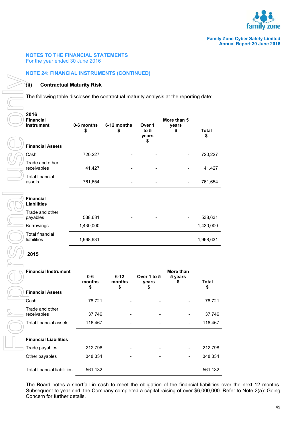

### **NOTES TO THE FINANCIAL STATEMENTS** For the year ended 30 June 2016

### **NOTE 24: FINANCIAL INSTRUMENTS (CONTINUED)**

### **(ii) Contractual Maturity Risk**

| 2016                                  |                       |                          |                            |                           |                    |
|---------------------------------------|-----------------------|--------------------------|----------------------------|---------------------------|--------------------|
| <b>Financial</b><br><b>Instrument</b> | 0-6 months<br>\$      | 6-12 months<br>\$        | Over 1<br>to $5$<br>years  | More than 5<br>years<br>S | <b>Total</b><br>\$ |
| <b>Financial Assets</b>               |                       |                          | \$                         |                           |                    |
| Cash                                  | 720,227               |                          |                            |                           | 720,227            |
| Trade and other<br>receivables        | 41,427                |                          |                            |                           | 41,427             |
| <b>Total financial</b><br>assets      | 761,654               |                          |                            |                           | 761,654            |
| <b>Financial</b>                      |                       |                          |                            |                           |                    |
| <b>Liabilities</b>                    |                       |                          |                            |                           |                    |
| Trade and other<br>payables           | 538,631               |                          |                            |                           | 538,631            |
| Borrowings                            | 1,430,000             |                          |                            | $\overline{\phantom{a}}$  | 1,430,000          |
| <b>Total financial</b><br>liabilities | 1,968,631             |                          |                            | $\blacksquare$            | 1,968,631          |
| 2015                                  |                       |                          |                            |                           |                    |
| <b>Financial Instrument</b>           | $0-6$<br>months<br>\$ | $6 - 12$<br>months<br>\$ | Over 1 to 5<br>years<br>\$ | More than<br>5 years<br>S | <b>Total</b><br>\$ |
| <b>Financial Assets</b>               |                       |                          |                            |                           |                    |
| Cash                                  | 78,721                |                          |                            |                           | 78,721             |
| Trade and other<br>receivables        | 37,746                |                          |                            |                           | 37,746             |
| Total financial assets                | 116,467               |                          |                            |                           | 116,467            |
| <b>Financial Liabilities</b>          |                       |                          |                            |                           |                    |
| Trade payables                        | 212,798               |                          |                            |                           | 212,798            |
| Other payables                        | 348,334               |                          |                            |                           | 348,334            |
| <b>Total financial liabilities</b>    | 561,132               |                          |                            |                           | 561,132            |

### **2015**

| <b>Financial Instrument</b>        |                         |                          |                            | More than     |                    |
|------------------------------------|-------------------------|--------------------------|----------------------------|---------------|--------------------|
|                                    | $0 - 6$<br>months<br>\$ | $6 - 12$<br>months<br>\$ | Over 1 to 5<br>years<br>\$ | 5 years<br>\$ | <b>Total</b><br>\$ |
| <b>Financial Assets</b>            |                         |                          |                            |               |                    |
| Cash                               | 78,721                  |                          |                            |               | 78,721             |
| Trade and other<br>receivables     | 37,746                  |                          |                            |               | 37,746             |
| Total financial assets             | 116,467                 |                          |                            |               | 116,467            |
|                                    |                         |                          |                            |               |                    |
| <b>Financial Liabilities</b>       |                         |                          |                            |               |                    |
| Trade payables                     | 212,798                 |                          |                            |               | 212,798            |
| Other payables                     | 348,334                 |                          |                            |               | 348,334            |
| <b>Total financial liabilities</b> | 561,132                 |                          |                            |               | 561,132            |

The Board notes a shortfall in cash to meet the obligation of the financial liabilities over the next 12 months. Subsequent to year end, the Company completed a capital raising of over \$6,000,000. Refer to Note 2(a): Going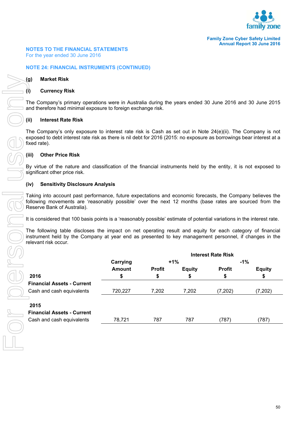

#### **NOTES TO THE FINANCIAL STATEMENTS**  For the year ended 30 June 2016

### **NOTE 24: FINANCIAL INSTRUMENTS (CONTINUED)**

### **(g) Market Risk**

### **(i) Currency Risk**

### **(ii) Interest Rate Risk**

### **(iii) Other Price Risk**

### **(iv) Sensitivity Disclosure Analysis**

| <b>Market Risk</b><br>(g)                                                                                                                                                                                                                             |               |               |               |                           |               |  |
|-------------------------------------------------------------------------------------------------------------------------------------------------------------------------------------------------------------------------------------------------------|---------------|---------------|---------------|---------------------------|---------------|--|
| <b>Currency Risk</b><br>(i)                                                                                                                                                                                                                           |               |               |               |                           |               |  |
| The Company's primary operations were in Australia during the years ended 30 June 2016 and 30 June 2015<br>and therefore had minimal exposure to foreign exchange risk.                                                                               |               |               |               |                           |               |  |
| (ii)<br><b>Interest Rate Risk</b>                                                                                                                                                                                                                     |               |               |               |                           |               |  |
| The Company's only exposure to interest rate risk is Cash as set out in Note $24(e)(ii)$ . The Company is not<br>exposed to debt interest rate risk as there is nil debt for 2016 (2015: no exposure as borrowings bear interest at a<br>fixed rate). |               |               |               |                           |               |  |
| <b>Other Price Risk</b><br>(iii)                                                                                                                                                                                                                      |               |               |               |                           |               |  |
| By virtue of the nature and classification of the financial instruments held by the entity, it is not exposed to<br>significant other price risk.                                                                                                     |               |               |               |                           |               |  |
| <b>Sensitivity Disclosure Analysis</b><br>(iv)                                                                                                                                                                                                        |               |               |               |                           |               |  |
| Taking into account past performance, future expectations and economic forecasts, the Company believes the<br>following movements are 'reasonably possible' over the next 12 months (base rates are sourced from the<br>Reserve Bank of Australia).   |               |               |               |                           |               |  |
| It is considered that 100 basis points is a 'reasonably possible' estimate of potential variations in the interest rate.                                                                                                                              |               |               |               |                           |               |  |
| The following table discloses the impact on net operating result and equity for each category of financial<br>instrument held by the Company at year end as presented to key management personnel, if changes in the<br>relevant risk occur.          |               |               |               |                           |               |  |
|                                                                                                                                                                                                                                                       |               |               |               | <b>Interest Rate Risk</b> |               |  |
|                                                                                                                                                                                                                                                       | Carrying      |               | $+1%$         | $-1%$                     |               |  |
|                                                                                                                                                                                                                                                       | <b>Amount</b> | <b>Profit</b> | <b>Equity</b> | <b>Profit</b>             | <b>Equity</b> |  |
| 2016                                                                                                                                                                                                                                                  | \$            | \$            | S             | \$                        | \$            |  |
| <b>Financial Assets - Current</b><br>Cash and cash equivalents                                                                                                                                                                                        | 720,227       | 7,202         | 7,202         | (7,202)                   | (7,202)       |  |
|                                                                                                                                                                                                                                                       |               |               |               |                           |               |  |
| 2015                                                                                                                                                                                                                                                  |               |               |               |                           |               |  |
| <b>Financial Assets - Current</b>                                                                                                                                                                                                                     |               |               |               |                           |               |  |
| Cash and cash equivalents                                                                                                                                                                                                                             | 78,721        | 787           | 787           | (787)                     | (787)         |  |
|                                                                                                                                                                                                                                                       |               |               |               |                           |               |  |
|                                                                                                                                                                                                                                                       |               |               |               |                           |               |  |
|                                                                                                                                                                                                                                                       |               |               |               |                           |               |  |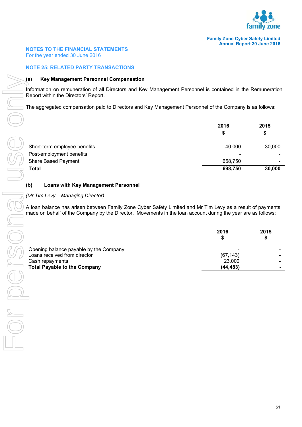

For the year ended 30 June 2016

### **NOTE 25: RELATED PARTY TRANSACTIONS**

### **(a) Key Management Personnel Compensation**

| Information on remuneration of all Directors and Key Management Personnel is contained in the Remuneration<br>Report within the Directors' Report.                                                                         |                     |            |
|----------------------------------------------------------------------------------------------------------------------------------------------------------------------------------------------------------------------------|---------------------|------------|
| The aggregated compensation paid to Directors and Key Management Personnel of the Company is as follows:                                                                                                                   |                     |            |
|                                                                                                                                                                                                                            |                     |            |
|                                                                                                                                                                                                                            | 2016<br>\$          | 2015<br>\$ |
| Short-term employee benefits                                                                                                                                                                                               | 40,000              | 30,000     |
| Post-employment benefits                                                                                                                                                                                                   |                     |            |
| Share Based Payment                                                                                                                                                                                                        | 658,750             |            |
| <b>Total</b>                                                                                                                                                                                                               | 698,750             | 30,000     |
| (b)<br><b>Loans with Key Management Personnel</b>                                                                                                                                                                          |                     |            |
| (Mr Tim Levy - Managing Director)                                                                                                                                                                                          |                     |            |
| A loan balance has arisen between Family Zone Cyber Safety Limited and Mr Tim Levy as a result of payments<br>made on behalf of the Company by the Director. Movements in the loan account during the year are as follows: |                     |            |
|                                                                                                                                                                                                                            | 2016                | 2015       |
|                                                                                                                                                                                                                            | \$                  | \$         |
| Opening balance payable by the Company                                                                                                                                                                                     |                     |            |
| Loans received from director                                                                                                                                                                                               | (67, 143)           |            |
| Cash repayments<br><b>Total Payable to the Company</b>                                                                                                                                                                     | 23,000<br>(44, 483) |            |
|                                                                                                                                                                                                                            |                     |            |
|                                                                                                                                                                                                                            |                     |            |
|                                                                                                                                                                                                                            |                     |            |
|                                                                                                                                                                                                                            |                     |            |
|                                                                                                                                                                                                                            |                     |            |
|                                                                                                                                                                                                                            |                     |            |
|                                                                                                                                                                                                                            |                     |            |
|                                                                                                                                                                                                                            |                     |            |
|                                                                                                                                                                                                                            |                     |            |

### **(b) Loans with Key Management Personnel**

### *(Mr Tim Levy – Managing Director)*

|                                        | 2016      | 2015                     |
|----------------------------------------|-----------|--------------------------|
| Opening balance payable by the Company |           |                          |
| Loans received from director           | (67, 143) |                          |
| Cash repayments                        | 23,000    | $\overline{\phantom{0}}$ |
| <b>Total Payable to the Company</b>    | (44, 483) |                          |
|                                        |           |                          |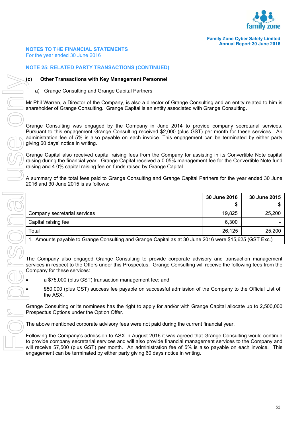

For the year ended 30 June 2016

### **NOTE 25: RELATED PARTY TRANSACTIONS (CONTINUED)**

### **(c) Other Transactions with Key Management Personnel**

| <b>Other Transactions with Key Management Personnel</b><br>(c)                                                                                                                                                                                                                                                                                                        |              |              |
|-----------------------------------------------------------------------------------------------------------------------------------------------------------------------------------------------------------------------------------------------------------------------------------------------------------------------------------------------------------------------|--------------|--------------|
| a) Grange Consulting and Grange Capital Partners                                                                                                                                                                                                                                                                                                                      |              |              |
| Mr Phil Warren, a Director of the Company, is also a director of Grange Consulting and an entity related to him is<br>shareholder of Grange Consulting. Grange Capital is an entity associated with Grange Consulting.                                                                                                                                                |              |              |
| Grange Consulting was engaged by the Company in June 2014 to provide company secretarial services.<br>Pursuant to this engagement Grange Consulting received \$2,000 (plus GST) per month for these services. An<br>administration fee of 5% is also payable on each invoice. This engagement can be terminated by either party<br>giving 60 days' notice in writing. |              |              |
| Grange Capital also received capital raising fees from the Company for assisting in its Convertible Note capital<br>raising during the financial year. Grange Capital received a 0.05% management fee for the Convertible Note fund<br>raising and 4.0% capital raising fee on funds raised by Grange Capital.                                                        |              |              |
| A summary of the total fees paid to Grange Consulting and Grange Capital Partners for the year ended 30 June<br>2016 and 30 June 2015 is as follows:                                                                                                                                                                                                                  |              |              |
|                                                                                                                                                                                                                                                                                                                                                                       | 30 June 2016 | 30 June 2015 |
|                                                                                                                                                                                                                                                                                                                                                                       |              |              |
| Company secretarial services                                                                                                                                                                                                                                                                                                                                          | 19,825       | 25,200       |
| Capital raising fee                                                                                                                                                                                                                                                                                                                                                   | 6,300        |              |
| Total                                                                                                                                                                                                                                                                                                                                                                 | 26,125       | 25,200       |
| 1. Amounts payable to Grange Consulting and Grange Capital as at 30 June 2016 were \$15,625 (GST Exc.)                                                                                                                                                                                                                                                                |              |              |
| The Company also engaged Grange Consulting to provide corporate advisory and transaction management<br>services in respect to the Offers under this Prospectus. Grange Consulting will receive the following fees from the<br>Company for these services:                                                                                                             |              |              |
| a \$75,000 (plus GST) transaction management fee; and                                                                                                                                                                                                                                                                                                                 |              |              |
| \$50,000 (plus GST) success fee payable on successful admission of the Company to the Official List of<br>the ASX.                                                                                                                                                                                                                                                    |              |              |
| Grange Consulting or its nominees has the right to apply for and/or with Grange Capital allocate up to 2,500,000<br>Prospectus Options under the Option Offer.                                                                                                                                                                                                        |              |              |
| The above mentioned corporate advisory fees were not paid during the current financial year.                                                                                                                                                                                                                                                                          |              |              |
| Following the Company's admission to ASX in August 2016 it was agreed that Grange Consulting would continue<br>to provide company secretarial services and will also provide financial management services to the Company and<br>will receive \$7,500 (plus GST) per month. An administration fee of 5% is also payable on each invoice. This                         |              |              |

- a \$75,000 (plus GST) transaction management fee; and
- \$50,000 (plus GST) success fee payable on successful admission of the Company to the Official List of the ASX.

Following the Company's admission to ASX in August 2016 it was agreed that Grange Consulting would continue to provide company secretarial services and will also provide financial management services to the Company and engagement can be terminated by either party giving 60 days notice in writing.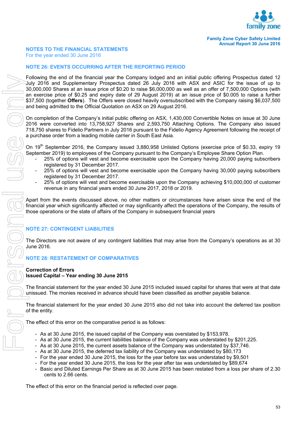

### **NOTES TO THE FINANCIAL STATEMENTS**

For the year ended 30 June 2016

### **NOTE 26: EVENTS OCCURRING AFTER THE REPORTING PERIOD**

Following the end of the financial year the Company lodged and an initial public offering Prospectus dated 12 July 2016 and Supplementary Prospectus dated 26 July 2016 with ASX and ASIC for the issue of up to 30,000,000 Shares at an issue price of \$0.20 to raise \$6,000,000 as well as an offer of 7,500,000 Options (with an exercise price of \$0.25 and expiry date of 29 August 2019) at an issue price of \$0.005 to raise a further \$37,500 (together **Offers**). The Offers were closed heavily oversubscribed with the Company raising \$6,037,500 and being admitted to the Official Quotation on ASX on 29 August 2016.

On completion of the Company's initial public offering on ASX, 1,430,000 Convertible Notes on issue at 30 June 2016 were converted into 13,758,927 Shares and 2,593,750 Attaching Options. The Company also issued 718,750 shares to Fidelio Partners in July 2016 pursuant to the Fidelio Agency Agreement following the receipt of a purchase order from a leading mobile carrier in South East Asia.

On  $19<sup>th</sup>$  September 2016, the Company issued 3,880,958 Unlisted Options (exercise price of \$0.33, expiry 19 September 2019) to employees of the Company pursuant to the Company's Employee Share Option Plan.

- 25% of options will vest and become exercisable upon the Company having 20,000 paying subscribers registered by 31 December 2017.
- 25% of options will vest and become exercisable upon the Company having 30,000 paying subscribers registered by 31 December 2017.
- 25% of options will vest and become exercisable upon the Company achieving \$10,000,000 of customer revenue in any financial years ended 30 June 2017, 2018 or 2019.

Apart from the events discussed above, no other matters or circumstances have arisen since the end of the financial year which significantly affected or may significantly affect the operations of the Company, the results of those operations or the state of affairs of the Company in subsequent financial years

### **NOTE 27: CONTINGENT LIABILITIES**

The Directors are not aware of any contingent liabilities that may arise from the Company's operations as at 30 June 2016.

### **NOTE 28: RESTATEMENT OF COMPARATIVES**

### **Correction of Errors**

### **Issued Capital – Year ending 30 June 2015**

The financial statement for the year ended 30 June 2015 included issued capital for shares that were at that date unissued. The monies received in advance should have been classified as another payable balance.

The financial statement for the year ended 30 June 2015 also did not take into account the deferred tax position of the entity.

The effect of this error on the comparative period is as follows:

- As at 30 June 2015, the issued capital of the Company was overstated by \$153,978.
- As at 30 June 2015, the current liabilities balance of the Company was understated by \$201,225.
- As at 30 June 2015, the current assets balance of the Company was understated by \$37,746.
- As at 30 June 2015, the deferred tax liability of the Company was understated by \$80,173
- For the year ended 30 June 2015, the loss for the year before tax was understated by \$9,501
- For the year ended 30 June 2015, the loss for the year after tax was understated by \$89,674
- Basic and Diluted Earnings Per Share as at 30 June 2015 has been restated from a loss per share of 2.30 cents to 2.66 cents.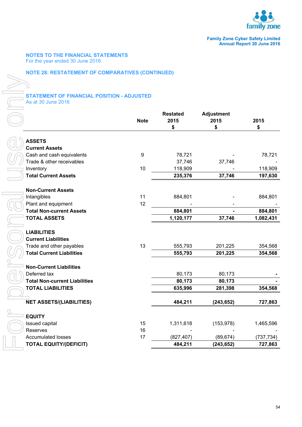

### **NOTES TO THE FINANCIAL STATEMENTS**  For the year ended 30 June 2016

### **NOTE 28: RESTATEMENT OF COMPARATIVES (CONTINUED)**

### **STATEMENT OF FINANCIAL POSITION - ADJUSTED**

As at 30 June 2016

|                                      | <b>Note</b> | <b>Restated</b><br>2015<br>\$ | <b>Adjustment</b><br>2015<br>\$ | 2015<br>\$ |
|--------------------------------------|-------------|-------------------------------|---------------------------------|------------|
| <b>ASSETS</b>                        |             |                               |                                 |            |
| <b>Current Assets</b>                |             |                               |                                 |            |
| Cash and cash equivalents            | 9           | 78,721                        |                                 | 78,721     |
| Trade & other receivables            |             | 37,746                        | 37,746                          |            |
| Inventory                            | 10          | 118,909                       |                                 | 118,909    |
| <b>Total Current Assets</b>          |             | 235,376                       | 37,746                          | 197,630    |
| <b>Non-Current Assets</b>            |             |                               |                                 |            |
| Intangibles                          | 11          | 884,801                       |                                 | 884,801    |
| Plant and equipment                  | 12          |                               |                                 |            |
| <b>Total Non-current Assets</b>      |             | 884,801                       |                                 | 884,801    |
| <b>TOTAL ASSETS</b>                  |             | 1,120,177                     | 37,746                          | 1,082,431  |
|                                      |             |                               |                                 |            |
| <b>LIABILITIES</b>                   |             |                               |                                 |            |
| <b>Current Liabilities</b>           |             |                               |                                 |            |
| Trade and other payables             | 13          | 555,793                       | 201,225                         | 354,568    |
| <b>Total Current Liabilities</b>     |             | 555,793                       | 201,225                         | 354,568    |
| <b>Non-Current Liabilities</b>       |             |                               |                                 |            |
| Deferred tax                         |             | 80,173                        | 80,173                          |            |
| <b>Total Non-current Liabilities</b> |             | 80,173                        | 80,173                          |            |
| <b>TOTAL LIABILITIES</b>             |             | 635,996                       | 281,398                         | 354,568    |
| <b>NET ASSETS/(LIABILITIES)</b>      |             | 484,211                       | (243, 652)                      | 727,863    |
| <b>EQUITY</b>                        |             |                               |                                 |            |
| Issued capital                       | 15          | 1,311,618                     | (153, 978)                      | 1,465,596  |
| Reserves                             | 16          |                               |                                 |            |
| <b>Accumulated losses</b>            | 17          | (827, 407)                    | (89, 674)                       | (737, 734) |
| <b>TOTAL EQUITY/(DEFICIT)</b>        |             | 484,211                       | (243, 652)                      | 727,863    |
|                                      |             |                               |                                 |            |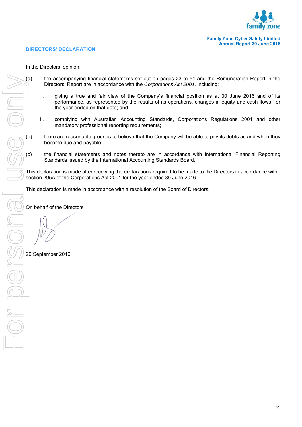

In the Directors' opinion:

- (a) the accompanying financial statements set out on pages 23 to 54 and the Remuneration Report in the Directors' Report are in accordance with the *Corporations Act 2001,* including:
	- i. giving a true and fair view of the Company's financial position as at 30 June 2016 and of its performance, as represented by the results of its operations, changes in equity and cash flows, for the year ended on that date; and
	- ii. complying with Australian Accounting Standards, Corporations Regulations 2001 and other mandatory professional reporting requirements;
- (b) there are reasonable grounds to believe that the Company will be able to pay its debts as and when they become due and payable.
- (c) the financial statements and notes thereto are in accordance with International Financial Reporting Standards issued by the International Accounting Standards Board.

This declaration is made after receiving the declarations required to be made to the Directors in accordance with section 295A of the Corporations Act 2001 for the year ended 30 June 2016.

This declaration is made in accordance with a resolution of the Board of Directors.

On behalf of the Directors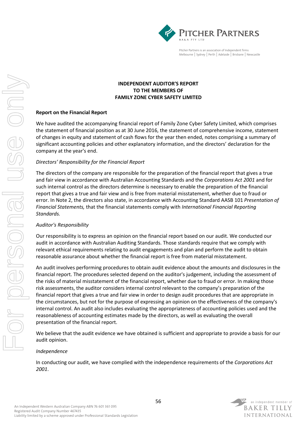

Pitcher Partners is an association of Independent firms Melbourne | Sydney | Perth | Adelaide | Brisbane | Newcastle

### **INDEPENDENT AUDITOR'S REPORT TO THE MEMBERS OF FAMILY ZONE CYBER SAFETY LIMITED**

### **Report on the Financial Report**

We have audited the accompanying financial report of Family Zone Cyber Safety Limited, which comprises the statement of financial position as at 30 June 2016, the statement of comprehensive income, statement of changes in equity and statement of cash flows for the year then ended, notes comprising a summary of significant accounting policies and other explanatory information, and the directors' declaration for the company at the year's end.

### *Directors' Responsibility for the Financial Report*

The directors of the company are responsible for the preparation of the financial report that gives a true and fair view in accordance with Australian Accounting Standards and the *Corporations Act 2001* and for such internal control as the directors determine is necessary to enable the preparation of the financial report that gives a true and fair view and is free from material misstatement, whether due to fraud or error. In Note 2, the directors also state, in accordance with Accounting Standard AASB 101 *Presentation of Financial Statements,* that the financial statements comply with *International Financial Reporting Standards.*

### *Auditor's Responsibility*

Our responsibility is to express an opinion on the financial report based on our audit. We conducted our audit in accordance with Australian Auditing Standards. Those standards require that we comply with relevant ethical requirements relating to audit engagements and plan and perform the audit to obtain reasonable assurance about whether the financial report is free from material misstatement.

An audit involves performing procedures to obtain audit evidence about the amounts and disclosures in the financial report. The procedures selected depend on the auditor's judgement, including the assessment of the risks of material misstatement of the financial report, whether due to fraud or error. In making those risk assessments, the auditor considers internal control relevant to the company's preparation of the financial report that gives a true and fair view in order to design audit procedures that are appropriate in the circumstances, but not for the purpose of expressing an opinion on the effectiveness of the company's internal control. An audit also includes evaluating the appropriateness of accounting policies used and the reasonableness of accounting estimates made by the directors, as well as evaluating the overall presentation of the financial report.

We believe that the audit evidence we have obtained is sufficient and appropriate to provide a basis for our audit opinion.

### *Independence*

In conducting our audit, we have complied with the independence requirements of the *Corporations Act 2001*.



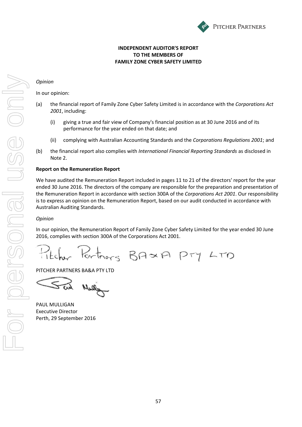

### **INDEPENDENT AUDITOR'S REPORT TO THE MEMBERS OF FAMILY ZONE CYBER SAFETY LIMITED**

### *Opinion*

In our opinion:

- (a) the financial report of Family Zone Cyber Safety Limited is in accordance with the *Corporations Act 2001*, including:
	- (i) giving a true and fair view of Company's financial position as at 30 June 2016 and of its performance for the year ended on that date; and
	- (ii) complying with Australian Accounting Standards and the *Corporations Regulations 2001*; and
- (b) the financial report also complies with *International Financial Reporting Standards* as disclosed in Note 2.

### **Report on the Remuneration Report**

We have audited the Remuneration Report included in pages 11 to 21 of the directors' report for the year ended 30 June 2016. The directors of the company are responsible for the preparation and presentation of the Remuneration Report in accordance with section 300A of the *Corporations Act 2001*. Our responsibility is to express an opinion on the Remuneration Report, based on our audit conducted in accordance with Australian Auditing Standards.

### *Opinion*

In our opinion, the Remuneration Report of Family Zone Cyber Safety Limited for the year ended 30 June 2016, complies with section 300A of the Corporations Act 2001.

Pitcher Partners BAXA PTY LTD

PITCHER PARTNERS BA&A PTY LTD

PAUL MULLIGAN Executive Director Perth, 29 September 2016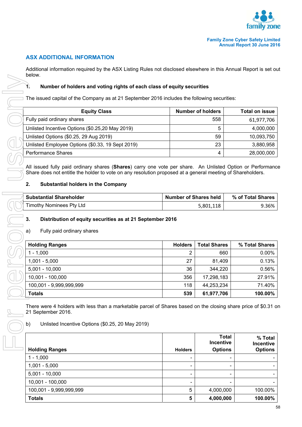

### **ASX ADDITIONAL INFORMATION**

Additional information required by the ASX Listing Rules not disclosed elsewhere in this Annual Report is set out below.

### **1. Number of holders and voting rights of each class of equity securities**

| <b>Equity Class</b>                              | <b>Number of holders</b> | Total on issue |
|--------------------------------------------------|--------------------------|----------------|
| Fully paid ordinary shares                       | 558                      | 61,977,706     |
| Unlisted Incentive Options (\$0.25,20 May 2019)  | 5                        | 4,000,000      |
| Unlisted Options (\$0.25, 29 Aug 2019)           | 59                       | 10,093,750     |
| Unlisted Employee Options (\$0.33, 19 Sept 2019) | 23                       | 3,880,958      |
| <b>Performance Shares</b>                        |                          | 28,000,000     |

| <b>Substantial Shareholder</b>  | <b>Number of Shares held</b> | % of Total Shares |
|---------------------------------|------------------------------|-------------------|
| <b>Timothy Nominees Pty Ltd</b> | 5,801,118                    | 9.36%             |

### **3. Distribution of equity securities as at 21 September 2016**

### a) Fully paid ordinary shares

| 2.                                                              | <b>Substantial holders in the Company</b> |                              |                     |                   |  |
|-----------------------------------------------------------------|-------------------------------------------|------------------------------|---------------------|-------------------|--|
|                                                                 | <b>Substantial Shareholder</b>            | <b>Number of Shares held</b> |                     | % of Total Shares |  |
|                                                                 | <b>Timothy Nominees Pty Ltd</b>           |                              | 5,801,118           | 9.36%             |  |
| 3.<br>Distribution of equity securities as at 21 September 2016 |                                           |                              |                     |                   |  |
| a)                                                              | Fully paid ordinary shares                |                              |                     |                   |  |
|                                                                 | <b>Holding Ranges</b>                     | <b>Holders</b>               | <b>Total Shares</b> | % Total Shares    |  |
|                                                                 | $1 - 1,000$                               | 2                            | 660                 | $0.00\%$          |  |
|                                                                 | $1,001 - 5,000$                           | 27                           | 81,409              | 0.13%             |  |
|                                                                 | $5,001 - 10,000$                          | 36                           | 344,220             | 0.56%             |  |
|                                                                 | 10,001 - 100,000                          | 356                          | 17,298,183          | 27.91%            |  |
|                                                                 | 100,001 - 9,999,999,999                   | 118                          | 44,253,234          | 71.40%            |  |
| Totals                                                          |                                           | 539                          | 61,977,706          | 100.00%           |  |

### b) Unlisted Incentive Options (\$0.25, 20 May 2019)

| DEIUW.                                                                                                                                                                                                                                                                      |                              |                                             |                                                   |
|-----------------------------------------------------------------------------------------------------------------------------------------------------------------------------------------------------------------------------------------------------------------------------|------------------------------|---------------------------------------------|---------------------------------------------------|
| Number of holders and voting rights of each class of equity securities<br>4.                                                                                                                                                                                                |                              |                                             |                                                   |
| The issued capital of the Company as at 21 September 2016 includes the following securities:                                                                                                                                                                                |                              |                                             |                                                   |
| <b>Equity Class</b>                                                                                                                                                                                                                                                         |                              | <b>Number of holders</b>                    | <b>Total on issue</b>                             |
| Fully paid ordinary shares                                                                                                                                                                                                                                                  |                              | 558                                         | 61,977,706                                        |
| Unlisted Incentive Options (\$0.25,20 May 2019)                                                                                                                                                                                                                             |                              | 5                                           | 4,000,000                                         |
| Unlisted Options (\$0.25, 29 Aug 2019)                                                                                                                                                                                                                                      |                              | 59                                          | 10,093,750                                        |
| Unlisted Employee Options (\$0.33, 19 Sept 2019)                                                                                                                                                                                                                            |                              | 23                                          | 3,880,958                                         |
| Performance Shares                                                                                                                                                                                                                                                          |                              | 4                                           | 28,000,000                                        |
| All issued fully paid ordinary shares (Shares) carry one vote per share. An Unlisted Option or Performance<br>Share does not entitle the holder to vote on any resolution proposed at a general meeting of Shareholders.<br><b>Substantial holders in the Company</b><br>2. |                              |                                             |                                                   |
| <b>Substantial Shareholder</b>                                                                                                                                                                                                                                              | <b>Number of Shares held</b> |                                             | % of Total Shares                                 |
| <b>Timothy Nominees Pty Ltd</b>                                                                                                                                                                                                                                             |                              | 5,801,118                                   | 9.36%                                             |
| 3.<br>Distribution of equity securities as at 21 September 2016<br>Fully paid ordinary shares<br>a)                                                                                                                                                                         |                              |                                             |                                                   |
| <b>Holding Ranges</b>                                                                                                                                                                                                                                                       | <b>Holders</b>               | <b>Total Shares</b>                         | % Total Shares                                    |
|                                                                                                                                                                                                                                                                             |                              |                                             |                                                   |
| $1 - 1,000$                                                                                                                                                                                                                                                                 | 2                            | 660                                         | $0.00\%$                                          |
| $1,001 - 5,000$                                                                                                                                                                                                                                                             | 27                           | 81,409                                      | 0.13%                                             |
| $5,001 - 10,000$                                                                                                                                                                                                                                                            | 36                           | 344,220                                     | 0.56%                                             |
| 10,001 - 100,000                                                                                                                                                                                                                                                            | 356                          | 17,298,183                                  | 27.91%                                            |
| 100,001 - 9,999,999,999                                                                                                                                                                                                                                                     | 118                          | 44,253,234                                  | 71.40%                                            |
| <b>Totals</b>                                                                                                                                                                                                                                                               | 539                          | 61,977,706                                  |                                                   |
| There were 4 holders with less than a marketable parcel of Shares based on the closing share price of \$0.31 or<br>21 September 2016.<br>Unlisted Incentive Options (\$0.25, 20 May 2019)<br>b)                                                                             |                              |                                             |                                                   |
| <b>Holding Ranges</b>                                                                                                                                                                                                                                                       | <b>Holders</b>               | <b>Total</b><br>Incentive<br><b>Options</b> | 100.00%<br>% Total<br>Incentive<br><b>Options</b> |
| $1 - 1,000$                                                                                                                                                                                                                                                                 |                              |                                             |                                                   |
| $1,001 - 5,000$                                                                                                                                                                                                                                                             |                              |                                             |                                                   |
| $5,001 - 10,000$                                                                                                                                                                                                                                                            |                              |                                             |                                                   |
| 10,001 - 100,000                                                                                                                                                                                                                                                            |                              |                                             |                                                   |
| 100,001 - 9,999,999,999                                                                                                                                                                                                                                                     | 5                            | 4,000,000                                   | 100.00%                                           |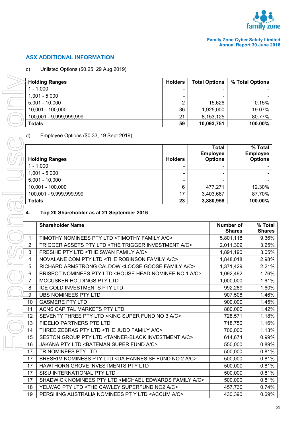

### **ASX ADDITIONAL INFORMATION**

| <b>Holding Ranges</b>                         | <b>Holders</b> | <b>Total Options</b>              | % Total Options                                         |
|-----------------------------------------------|----------------|-----------------------------------|---------------------------------------------------------|
| $-1,000$                                      |                |                                   |                                                         |
| $1,001 - 5,000$                               | -              |                                   |                                                         |
| $5,001 - 10,000$                              | 2              | 15,626                            | 0.15%                                                   |
| 10,001 - 100,000                              | 36             | 1,925,000                         | 19.07%                                                  |
| 100,001 - 9,999,999,999                       | 21             | 8,153,125                         | 80.77%                                                  |
| <b>Totals</b>                                 |                |                                   |                                                         |
|                                               | 59             | 10,093,751                        |                                                         |
| Employee Options (\$0.33, 19 Sept 2019)<br>d) |                | <b>Total</b>                      |                                                         |
| <b>Holding Ranges</b>                         | <b>Holders</b> | <b>Employee</b><br><b>Options</b> | 100.00%<br>% Total<br><b>Employee</b><br><b>Options</b> |
| $-1,000$<br>$001 - 5000$                      | -              |                                   |                                                         |

### Employee Options (\$0.33, 19 Sept 2019)

| <b>Holding Ranges</b>   | <b>Holders</b> | <b>Total</b><br><b>Employee</b><br><b>Options</b> | % Total<br><b>Employee</b><br><b>Options</b> |
|-------------------------|----------------|---------------------------------------------------|----------------------------------------------|
| $1 - 1,000$             |                |                                                   |                                              |
| $1,001 - 5,000$         |                | -                                                 |                                              |
| $5,001 - 10,000$        | -              |                                                   |                                              |
| 10,001 - 100,000        | 6              | 477,271                                           | 12.30%                                       |
| 100,001 - 9,999,999,999 | 17             | 3,403,687                                         | 87.70%                                       |
| <b>Totals</b>           | 23             | 3,880,958                                         | 100.00%                                      |

|                 | <b>Holding Ranges</b>                                                            | <b>Holders</b> | <b>Total Options</b> |                                   |                            | % Total Options                   |  |
|-----------------|----------------------------------------------------------------------------------|----------------|----------------------|-----------------------------------|----------------------------|-----------------------------------|--|
|                 | 1 - 1,000                                                                        |                |                      |                                   |                            |                                   |  |
|                 | $1,001 - 5,000$                                                                  |                |                      |                                   |                            |                                   |  |
|                 | $5,001 - 10,000$                                                                 | $\overline{2}$ |                      | 15,626                            |                            | 0.15%                             |  |
|                 | 10,001 - 100,000                                                                 | 36             |                      | 1,925,000                         |                            | 19.07%                            |  |
|                 | 100,001 - 9,999,999,999                                                          | 21             |                      | 8, 153, 125                       |                            | 80.77%                            |  |
| <b>Totals</b>   |                                                                                  | 59             |                      | 10,093,751                        |                            | 100.00%                           |  |
| d)              | Employee Options (\$0.33, 19 Sept 2019)                                          |                |                      |                                   |                            |                                   |  |
|                 |                                                                                  |                |                      | <b>Total</b>                      |                            | % Total                           |  |
|                 |                                                                                  | <b>Holders</b> |                      | <b>Employee</b><br><b>Options</b> |                            | <b>Employee</b><br><b>Options</b> |  |
|                 | <b>Holding Ranges</b><br>$1 - 1,000$                                             |                |                      |                                   |                            |                                   |  |
|                 | $1,001 - 5,000$                                                                  |                |                      |                                   |                            |                                   |  |
|                 | $5,001 - 10,000$                                                                 |                |                      |                                   |                            |                                   |  |
|                 | 10,001 - 100,000                                                                 | 6              |                      | 477,271                           |                            | 12.30%                            |  |
|                 | 100,001 - 9,999,999,999                                                          | 17             |                      | 3,403,687                         |                            | 87.70%                            |  |
| <b>Totals</b>   |                                                                                  | 23             |                      | 3,880,958                         |                            | 100.00%                           |  |
|                 |                                                                                  |                |                      |                                   |                            |                                   |  |
| 4.              | Top 20 Shareholder as at 21 September 2016                                       |                |                      |                                   |                            |                                   |  |
|                 | <b>Shareholder Name</b>                                                          |                |                      |                                   | Number of<br><b>Shares</b> | % Total<br><b>Shares</b>          |  |
| 1               | TIMOTHY NOMINEES PTY LTD <timothy a="" c="" family=""></timothy>                 |                |                      |                                   | 5,801,118                  | 9.36%                             |  |
| $\overline{2}$  | TRIGGER ASSETS PTY LTD <the a="" c="" investment="" trigger=""></the>            |                |                      |                                   | 2,011,309                  | 3.25%                             |  |
| 3               | FRESHIE PTY LTD <the a="" c="" family="" swan=""></the>                          |                |                      |                                   | 1,891,190                  | 3.05%                             |  |
| 4               | NOVALANE COM PTY LTD <the a="" c="" family="" robinson=""></the>                 |                |                      |                                   | 1,848,018                  | 2.98%                             |  |
| 5               | RICHARD ARMSTRONG CALDOW <loose a="" c="" family="" goose=""></loose>            |                |                      |                                   | 1,371,429                  | 2.21%                             |  |
| 6               | BRISPOT NOMINEES PTY LTD <house 1="" a="" c="" head="" no="" nominee=""></house> |                |                      |                                   | 1,092,492                  | 1.76%                             |  |
| 7               | MCCUSKER HOLDINGS PTY LTD                                                        |                |                      |                                   | 1,000,000                  | 1.61%                             |  |
| 8               | ICE COLD INVESTMENTS PTY LTD                                                     |                |                      |                                   | 992,289                    | 1.60%                             |  |
| 9               | <b>UBS NOMINEES PTY LTD</b>                                                      |                |                      |                                   | 907,508                    | 1.46%                             |  |
| $\overline{1}0$ | <b>GASMERE PTY LTD</b>                                                           |                |                      |                                   | 900,000                    | 1.45%                             |  |
| 11              | ACNS CAPITAL MARKETS PTY LTD                                                     |                |                      |                                   | 880,000                    | 1.42%                             |  |
| 12              | SEVENTY THREE PTY LTD <king 3="" a="" c="" fund="" no="" super=""></king>        |                |                      |                                   | 728,571                    | 1.18%                             |  |
| 13              | <b>FIDELIO PARTNERS PTE LTD</b>                                                  |                |                      |                                   | 718,750                    | 1.16%                             |  |
| 14              | THREE ZEBRAS PTY LTD <the a="" c="" family="" judd=""></the>                     |                |                      |                                   | 700,000                    | 1.13%                             |  |
| 15              | SESTON GROUP PTY LTD <tanner-black a="" c="" investment=""></tanner-black>       |                |                      |                                   | 614,674                    | 0.99%                             |  |
| 16              | JAKANA PTY LTD <bateman a="" c="" fund="" super=""></bateman>                    |                |                      |                                   | 550,000                    | 0.89%                             |  |
| 17              | TR NOMINEES PTY LTD                                                              |                |                      |                                   | 500,000                    | 0.81%                             |  |
| 17              | BRESRIM NOMINESS PTY LTD <da 2="" a="" c="" fund="" hannes="" no="" sf=""></da>  |                |                      |                                   | 500,000                    | 0.81%                             |  |
| 17              | HAWTHORN GROVE INVESTMENTS PTY LTD                                               |                |                      |                                   | 500,000                    | 0.81%                             |  |
| 17              | SISU INTERNATIONAL PTY LTD                                                       |                |                      |                                   | 500,000                    | 0.81%                             |  |
| 17              | SHADWICK NOMINEES PTY LTD <michael a="" c="" edwards="" family=""></michael>     |                |                      |                                   | 500,000                    | 0.81%                             |  |
| 18              | YELWAC PTY LTD <the a="" c="" cawley="" no2="" superfund=""></the>               |                |                      |                                   | 457,730                    | 0.74%                             |  |
| 19              | PERSHING AUSTRALIA NOMINEES PT Y LTD <accum a="" c=""></accum>                   |                |                      |                                   | 430,390                    | 0.69%                             |  |
|                 |                                                                                  |                |                      |                                   |                            |                                   |  |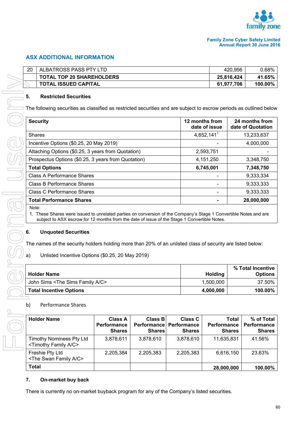

### **ASX ADDITIONAL INFORMATION**

| 20 | ALBATROSS PASS PTY LTD           | 420.956    | $0.68\%$ |
|----|----------------------------------|------------|----------|
|    | <b>TOTAL TOP 20 SHAREHOLDERS</b> | 25,816,424 | 41.65%   |
|    | <b>TOTAL ISSUED CAPITAL</b>      | 61.977.706 | 100.00%  |

### **5. Restricted Securities**

|          | <b>TOTAL TOP 20 SHAREHOLDERS</b>                                                                                                                                                                                                                                                                                                                              |                                                |                                                |  |                                                |                                 | 25,816,424                    | 41.65%                                     |
|----------|---------------------------------------------------------------------------------------------------------------------------------------------------------------------------------------------------------------------------------------------------------------------------------------------------------------------------------------------------------------|------------------------------------------------|------------------------------------------------|--|------------------------------------------------|---------------------------------|-------------------------------|--------------------------------------------|
|          | <b>TOTAL ISSUED CAPITAL</b>                                                                                                                                                                                                                                                                                                                                   |                                                |                                                |  |                                                |                                 | 61,977,706                    | 100.00%                                    |
| 5.       | <b>Restricted Securities</b><br>The following securities as classified as restricted securities and are subject to escrow periods as outlined below                                                                                                                                                                                                           |                                                |                                                |  |                                                |                                 |                               |                                            |
|          | <b>Security</b>                                                                                                                                                                                                                                                                                                                                               |                                                |                                                |  |                                                | 12 months from<br>date of issue |                               | 24 months from<br>date of Quotation        |
|          | 4,652,141 <sup>1</sup><br><b>Shares</b>                                                                                                                                                                                                                                                                                                                       |                                                |                                                |  |                                                |                                 |                               | 13,233,637                                 |
|          | Incentive Options (\$0.25, 20 May 2019)                                                                                                                                                                                                                                                                                                                       |                                                |                                                |  |                                                |                                 |                               | 4,000,000                                  |
|          | Attaching Options (\$0.25, 3 years from Quotation)                                                                                                                                                                                                                                                                                                            |                                                |                                                |  |                                                | 2,593,751                       |                               |                                            |
|          | Prospectus Options (\$0.25, 3 years from Quotation)                                                                                                                                                                                                                                                                                                           |                                                |                                                |  |                                                | 4,151,250                       |                               | 3,348,750                                  |
|          | <b>Total Options</b>                                                                                                                                                                                                                                                                                                                                          |                                                |                                                |  |                                                | 6,745,001                       |                               | 7,348,750                                  |
|          | <b>Class A Performance Shares</b>                                                                                                                                                                                                                                                                                                                             |                                                |                                                |  |                                                |                                 |                               | 9,333,334                                  |
|          | <b>Class B Performance Shares</b>                                                                                                                                                                                                                                                                                                                             |                                                |                                                |  |                                                |                                 |                               | 9,333,333                                  |
|          | <b>Class C Performance Shares</b>                                                                                                                                                                                                                                                                                                                             |                                                |                                                |  |                                                |                                 |                               | 9,333,333                                  |
|          | <b>Total Performance Shares</b>                                                                                                                                                                                                                                                                                                                               |                                                |                                                |  |                                                |                                 |                               | 28,000,000                                 |
|          |                                                                                                                                                                                                                                                                                                                                                               |                                                |                                                |  |                                                |                                 |                               |                                            |
| Note:    | 1. These Shares were issued to unrelated parties on conversion of the Company's Stage 1 Convertible Notes and are<br>subject to ASX escrow for 12 months from the date of issue of the Stage 1 Convertible Notes.<br><b>Unquoted Securities</b><br>The names of the security holders holding more than 20% of an unlisted class of security are listed below: |                                                |                                                |  |                                                |                                 |                               |                                            |
| 6.<br>a) | Unlisted Incentive Options (\$0.25, 20 May 2019)<br><b>Holder Name</b>                                                                                                                                                                                                                                                                                        |                                                |                                                |  |                                                | <b>Holding</b>                  |                               | % Total Incentive<br><b>Options</b>        |
|          | John Sims < The Sims Family A/C>                                                                                                                                                                                                                                                                                                                              |                                                |                                                |  |                                                | 1,500,000                       |                               | 37.50%                                     |
| b)       | <b>Total Incentive Options</b><br><b>Performance Shares</b>                                                                                                                                                                                                                                                                                                   |                                                |                                                |  |                                                | 4,000,000                       |                               | 100.00%                                    |
|          | <b>Holder Name</b>                                                                                                                                                                                                                                                                                                                                            | <b>Class A</b><br>Performance<br><b>Shares</b> | <b>Class B</b><br>Performance<br><b>Shares</b> |  | <b>Class C</b><br>Performance<br><b>Shares</b> | Performance                     | <b>Total</b><br><b>Shares</b> | % of Total<br>Performance<br><b>Shares</b> |
|          | <b>Timothy Nominees Pty Ltd</b><br><timothy a="" c="" family=""></timothy>                                                                                                                                                                                                                                                                                    | 3,878,611                                      | 3,878,610                                      |  | 3,878,610                                      | 11,635,831                      |                               | 41.56%                                     |
|          | Freshie Pty Ltd<br><the a="" c="" family="" swan=""></the>                                                                                                                                                                                                                                                                                                    | 2,205,384                                      | 2,205,383                                      |  | 2,205,383                                      |                                 | 6,616,150                     | 23.63%                                     |

### **6. Unquoted Securities**

| <b>Holder Name</b>                                | <b>Holding</b> | % Total Incentive<br><b>Options</b> |
|---------------------------------------------------|----------------|-------------------------------------|
| John Sims <the a="" c="" family="" sims=""></the> | 1.500.000      | 37.50%                              |
| <b>Total Incentive Options</b>                    | 4.000.000      | 100.00%                             |

### b) Performance Shares

| <b>Holder Name</b>                                                         | <b>Class A</b><br>Performance<br><b>Shares</b> | <b>Class B</b><br><b>Shares</b> | Class C<br>Performance   Performance<br><b>Shares</b> | Total<br>Performance<br><b>Shares</b> | % of Total<br>Performance<br><b>Shares</b> |
|----------------------------------------------------------------------------|------------------------------------------------|---------------------------------|-------------------------------------------------------|---------------------------------------|--------------------------------------------|
| <b>Timothy Nominees Pty Ltd</b><br><timothy a="" c="" family=""></timothy> | 3,878,611                                      | 3,878,610                       | 3,878,610                                             | 11,635,831                            | 41.56%                                     |
| Freshie Pty Ltd<br><the a="" c="" family="" swan=""></the>                 | 2,205,384                                      | 2,205,383                       | 2,205,383                                             | 6,616,150                             | 23.63%                                     |
| <b>Total</b>                                                               |                                                |                                 |                                                       | 28,000,000                            | 100.00%                                    |

### **7. On-market buy back**